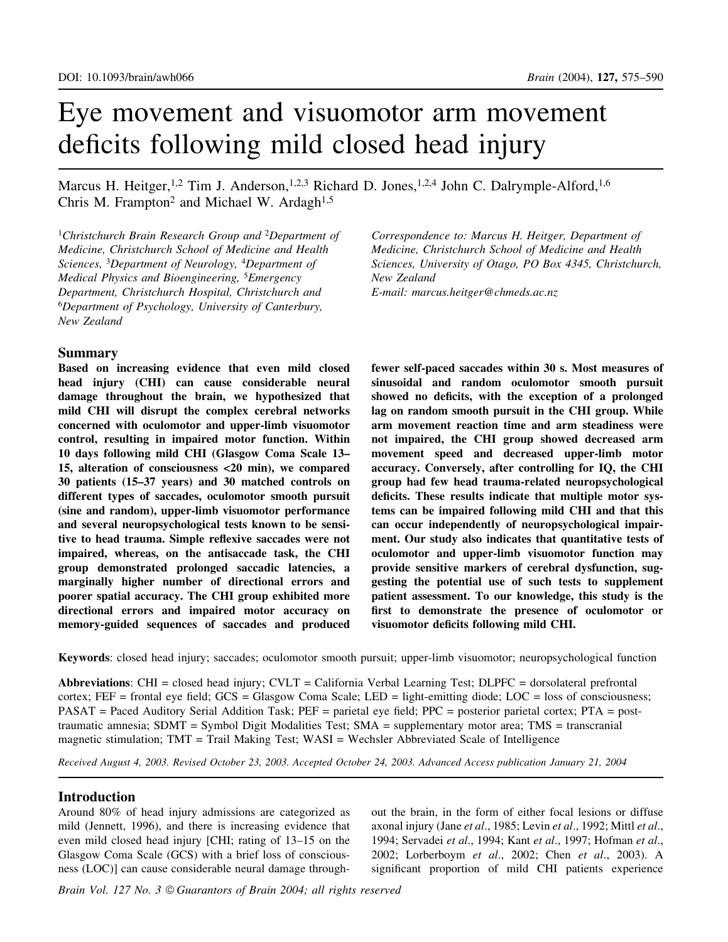# Eye movement and visuomotor arm movement deficits following mild closed head injury

Marcus H. Heitger,<sup>1,2</sup> Tim J. Anderson,<sup>1,2,3</sup> Richard D. Jones,<sup>1,2,4</sup> John C. Dalrymple-Alford,<sup>1,6</sup> Chris M. Frampton<sup>2</sup> and Michael W. Ardagh<sup>1,5</sup>

<sup>1</sup>Christchurch Brain Research Group and <sup>2</sup>Department of Medicine, Christchurch School of Medicine and Health Sciences, <sup>3</sup>Department of Neurology, <sup>4</sup>Department of Medical Physics and Bioengineering, <sup>5</sup>Emergency Department, Christchurch Hospital, Christchurch and <sup>6</sup>Department of Psychology, University of Canterbury, New Zealand

# Summary

Based on increasing evidence that even mild closed head injury (CHI) can cause considerable neural damage throughout the brain, we hypothesized that mild CHI will disrupt the complex cerebral networks concerned with oculomotor and upper-limb visuomotor control, resulting in impaired motor function. Within 10 days following mild CHI (Glasgow Coma Scale 13-15, alteration of consciousness <20 min), we compared 30 patients (15±37 years) and 30 matched controls on different types of saccades, oculomotor smooth pursuit (sine and random), upper-limb visuomotor performance and several neuropsychological tests known to be sensitive to head trauma. Simple reflexive saccades were not impaired, whereas, on the antisaccade task, the CHI group demonstrated prolonged saccadic latencies, a marginally higher number of directional errors and poorer spatial accuracy. The CHI group exhibited more directional errors and impaired motor accuracy on memory-guided sequences of saccades and produced

Correspondence to: Marcus H. Heitger, Department of Medicine, Christchurch School of Medicine and Health Sciences, University of Otago, PO Box 4345, Christchurch, New Zealand E-mail: marcus.heitger@chmeds.ac.nz

fewer self-paced saccades within 30 s. Most measures of sinusoidal and random oculomotor smooth pursuit showed no deficits, with the exception of a prolonged lag on random smooth pursuit in the CHI group. While arm movement reaction time and arm steadiness were not impaired, the CHI group showed decreased arm movement speed and decreased upper-limb motor accuracy. Conversely, after controlling for IQ, the CHI group had few head trauma-related neuropsychological deficits. These results indicate that multiple motor systems can be impaired following mild CHI and that this can occur independently of neuropsychological impairment. Our study also indicates that quantitative tests of oculomotor and upper-limb visuomotor function may provide sensitive markers of cerebral dysfunction, suggesting the potential use of such tests to supplement patient assessment. To our knowledge, this study is the first to demonstrate the presence of oculomotor or visuomotor deficits following mild CHI.

Keywords: closed head injury; saccades; oculomotor smooth pursuit; upper-limb visuomotor; neuropsychological function

Abbreviations: CHI = closed head injury; CVLT = California Verbal Learning Test; DLPFC = dorsolateral prefrontal  $cortex$ ; FEF = frontal eye field; GCS = Glasgow Coma Scale; LED = light-emitting diode; LOC = loss of consciousness; PASAT = Paced Auditory Serial Addition Task; PEF = parietal eye field; PPC = posterior parietal cortex; PTA = posttraumatic amnesia; SDMT = Symbol Digit Modalities Test; SMA = supplementary motor area; TMS = transcranial magnetic stimulation; TMT = Trail Making Test; WASI = Wechsler Abbreviated Scale of Intelligence

Received August 4, 2003. Revised October 23, 2003. Accepted October 24, 2003. Advanced Access publication January 21, 2004

# Introduction

Around 80% of head injury admissions are categorized as mild (Jennett, 1996), and there is increasing evidence that even mild closed head injury  $[CHI;$  rating of  $13-15$  on the Glasgow Coma Scale (GCS) with a brief loss of consciousness (LOC)] can cause considerable neural damage throughout the brain, in the form of either focal lesions or diffuse axonal injury (Jane et al., 1985; Levin et al., 1992; Mittl et al., 1994; Servadei et al., 1994; Kant et al., 1997; Hofman et al., 2002; Lorberboym et al., 2002; Chen et al., 2003). A significant proportion of mild CHI patients experience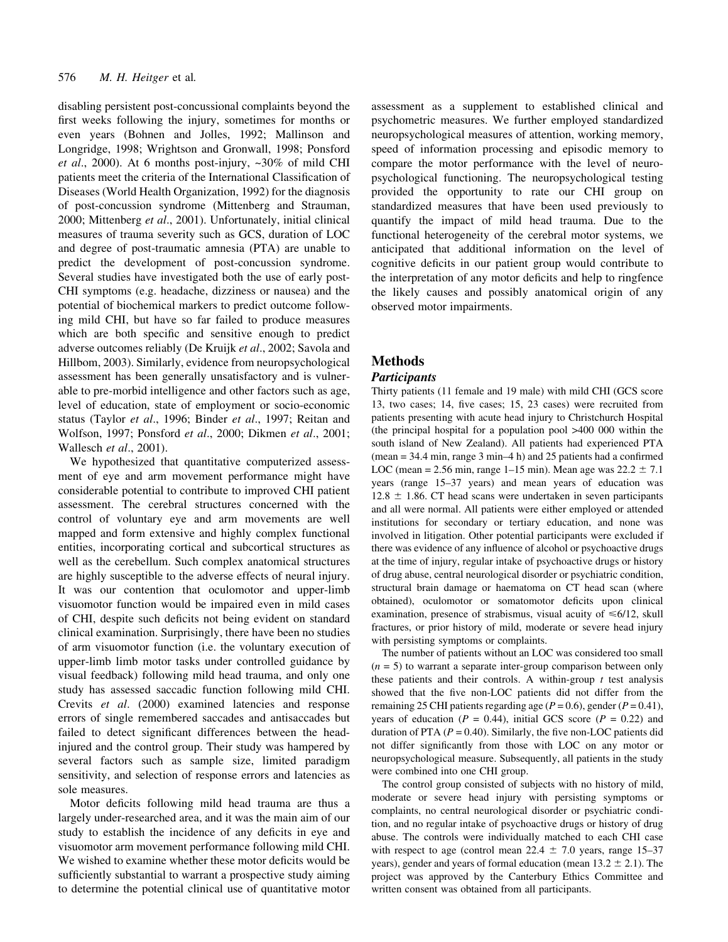disabling persistent post-concussional complaints beyond the first weeks following the injury, sometimes for months or even years (Bohnen and Jolles, 1992; Mallinson and Longridge, 1998; Wrightson and Gronwall, 1998; Ponsford et al., 2000). At 6 months post-injury,  $\sim 30\%$  of mild CHI patients meet the criteria of the International Classification of Diseases (World Health Organization, 1992) for the diagnosis of post-concussion syndrome (Mittenberg and Strauman, 2000; Mittenberg et al., 2001). Unfortunately, initial clinical measures of trauma severity such as GCS, duration of LOC and degree of post-traumatic amnesia (PTA) are unable to predict the development of post-concussion syndrome. Several studies have investigated both the use of early post-CHI symptoms (e.g. headache, dizziness or nausea) and the potential of biochemical markers to predict outcome following mild CHI, but have so far failed to produce measures which are both specific and sensitive enough to predict adverse outcomes reliably (De Kruijk et al., 2002; Savola and Hillbom, 2003). Similarly, evidence from neuropsychological assessment has been generally unsatisfactory and is vulnerable to pre-morbid intelligence and other factors such as age, level of education, state of employment or socio-economic status (Taylor et al., 1996; Binder et al., 1997; Reitan and Wolfson, 1997; Ponsford et al., 2000; Dikmen et al., 2001; Wallesch et al., 2001).

We hypothesized that quantitative computerized assessment of eye and arm movement performance might have considerable potential to contribute to improved CHI patient assessment. The cerebral structures concerned with the control of voluntary eye and arm movements are well mapped and form extensive and highly complex functional entities, incorporating cortical and subcortical structures as well as the cerebellum. Such complex anatomical structures are highly susceptible to the adverse effects of neural injury. It was our contention that oculomotor and upper-limb visuomotor function would be impaired even in mild cases of CHI, despite such deficits not being evident on standard clinical examination. Surprisingly, there have been no studies of arm visuomotor function (i.e. the voluntary execution of upper-limb limb motor tasks under controlled guidance by visual feedback) following mild head trauma, and only one study has assessed saccadic function following mild CHI. Crevits et al. (2000) examined latencies and response errors of single remembered saccades and antisaccades but failed to detect significant differences between the headinjured and the control group. Their study was hampered by several factors such as sample size, limited paradigm sensitivity, and selection of response errors and latencies as sole measures.

Motor deficits following mild head trauma are thus a largely under-researched area, and it was the main aim of our study to establish the incidence of any deficits in eye and visuomotor arm movement performance following mild CHI. We wished to examine whether these motor deficits would be sufficiently substantial to warrant a prospective study aiming to determine the potential clinical use of quantitative motor assessment as a supplement to established clinical and psychometric measures. We further employed standardized neuropsychological measures of attention, working memory, speed of information processing and episodic memory to compare the motor performance with the level of neuropsychological functioning. The neuropsychological testing provided the opportunity to rate our CHI group on standardized measures that have been used previously to quantify the impact of mild head trauma. Due to the functional heterogeneity of the cerebral motor systems, we anticipated that additional information on the level of cognitive deficits in our patient group would contribute to the interpretation of any motor deficits and help to ringfence the likely causes and possibly anatomical origin of any observed motor impairments.

# Methods

## **Participants**

Thirty patients (11 female and 19 male) with mild CHI (GCS score 13, two cases; 14, five cases; 15, 23 cases) were recruited from patients presenting with acute head injury to Christchurch Hospital (the principal hospital for a population pool >400 000 within the south island of New Zealand). All patients had experienced PTA  $(mean = 34.4 min, range 3 min-4 h)$  and 25 patients had a confirmed LOC (mean = 2.56 min, range 1–15 min). Mean age was  $22.2 \pm 7.1$ years (range 15-37 years) and mean years of education was  $12.8 \pm 1.86$ . CT head scans were undertaken in seven participants and all were normal. All patients were either employed or attended institutions for secondary or tertiary education, and none was involved in litigation. Other potential participants were excluded if there was evidence of any influence of alcohol or psychoactive drugs at the time of injury, regular intake of psychoactive drugs or history of drug abuse, central neurological disorder or psychiatric condition, structural brain damage or haematoma on CT head scan (where obtained), oculomotor or somatomotor deficits upon clinical examination, presence of strabismus, visual acuity of  $\leq 6/12$ , skull fractures, or prior history of mild, moderate or severe head injury with persisting symptoms or complaints.

The number of patients without an LOC was considered too small  $(n = 5)$  to warrant a separate inter-group comparison between only these patients and their controls. A within-group  $t$  test analysis showed that the five non-LOC patients did not differ from the remaining 25 CHI patients regarding age ( $P = 0.6$ ), gender ( $P = 0.41$ ), years of education ( $P = 0.44$ ), initial GCS score ( $P = 0.22$ ) and duration of PTA ( $P = 0.40$ ). Similarly, the five non-LOC patients did not differ significantly from those with LOC on any motor or neuropsychological measure. Subsequently, all patients in the study were combined into one CHI group.

The control group consisted of subjects with no history of mild, moderate or severe head injury with persisting symptoms or complaints, no central neurological disorder or psychiatric condition, and no regular intake of psychoactive drugs or history of drug abuse. The controls were individually matched to each CHI case with respect to age (control mean  $22.4 \pm 7.0$  years, range 15-37 years), gender and years of formal education (mean  $13.2 \pm 2.1$ ). The project was approved by the Canterbury Ethics Committee and written consent was obtained from all participants.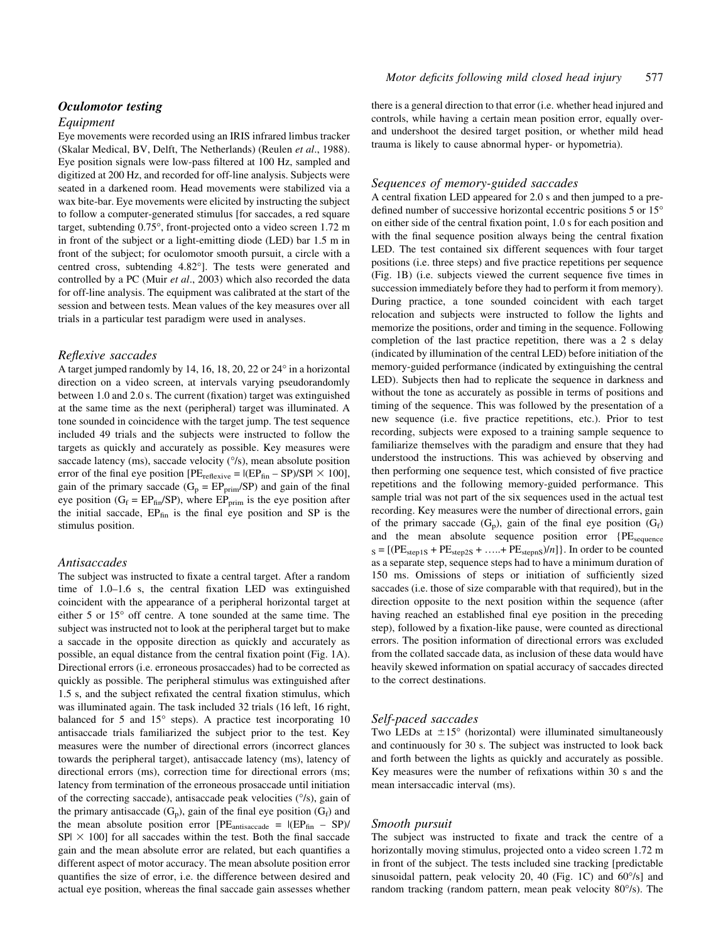## Oculomotor testing

#### Equipment

Eye movements were recorded using an IRIS infrared limbus tracker (Skalar Medical, BV, Delft, The Netherlands) (Reulen et al., 1988). Eye position signals were low-pass filtered at 100 Hz, sampled and digitized at 200 Hz, and recorded for off-line analysis. Subjects were seated in a darkened room. Head movements were stabilized via a wax bite-bar. Eye movements were elicited by instructing the subject to follow a computer-generated stimulus [for saccades, a red square target, subtending 0.75°, front-projected onto a video screen 1.72 m in front of the subject or a light-emitting diode (LED) bar 1.5 m in front of the subject; for oculomotor smooth pursuit, a circle with a centred cross, subtending 4.82°]. The tests were generated and controlled by a PC (Muir et al., 2003) which also recorded the data for off-line analysis. The equipment was calibrated at the start of the session and between tests. Mean values of the key measures over all trials in a particular test paradigm were used in analyses.

#### Reflexive saccades

A target jumped randomly by 14, 16, 18, 20, 22 or 24° in a horizontal direction on a video screen, at intervals varying pseudorandomly between  $1.0$  and  $2.0$  s. The current (fixation) target was extinguished at the same time as the next (peripheral) target was illuminated. A tone sounded in coincidence with the target jump. The test sequence included 49 trials and the subjects were instructed to follow the targets as quickly and accurately as possible. Key measures were saccade latency (ms), saccade velocity ( $\degree$ /s), mean absolute position error of the final eye position  $[PE_{reflexive} = |(EP_{fin} - SP)/SP| \times 100]$ , gain of the primary saccade ( $G_p = EP_{prim}/SP$ ) and gain of the final eye position ( $G_f = EP_{fin}/SP$ ), where  $EP_{prim}$  is the eye position after the initial saccade,  $EP<sub>fin</sub>$  is the final eye position and SP is the stimulus position.

#### Antisaccades

The subject was instructed to fixate a central target. After a random time of 1.0-1.6 s, the central fixation LED was extinguished coincident with the appearance of a peripheral horizontal target at either 5 or 15° off centre. A tone sounded at the same time. The subject was instructed not to look at the peripheral target but to make a saccade in the opposite direction as quickly and accurately as possible, an equal distance from the central fixation point (Fig. 1A). Directional errors (i.e. erroneous prosaccades) had to be corrected as quickly as possible. The peripheral stimulus was extinguished after 1.5 s, and the subject refixated the central fixation stimulus, which was illuminated again. The task included 32 trials (16 left, 16 right, balanced for 5 and 15° steps). A practice test incorporating 10 antisaccade trials familiarized the subject prior to the test. Key measures were the number of directional errors (incorrect glances towards the peripheral target), antisaccade latency (ms), latency of directional errors (ms), correction time for directional errors (ms; latency from termination of the erroneous prosaccade until initiation of the correcting saccade), antisaccade peak velocities (°/s), gain of the primary antisaccade  $(G_p)$ , gain of the final eye position  $(G_f)$  and the mean absolute position error  $[PE_{\text{antisaccade}} = |(EP_{\text{fin}} - SP)/$  $SP \times 100$ ] for all saccades within the test. Both the final saccade gain and the mean absolute error are related, but each quantifies a different aspect of motor accuracy. The mean absolute position error quantifies the size of error, i.e. the difference between desired and actual eye position, whereas the final saccade gain assesses whether

there is a general direction to that error (i.e. whether head injured and controls, while having a certain mean position error, equally overand undershoot the desired target position, or whether mild head trauma is likely to cause abnormal hyper- or hypometria).

#### Sequences of memory-guided saccades

A central fixation LED appeared for 2.0 s and then jumped to a predefined number of successive horizontal eccentric positions  $5$  or  $15^{\circ}$ on either side of the central fixation point, 1.0 s for each position and with the final sequence position always being the central fixation LED. The test contained six different sequences with four target positions (i.e. three steps) and five practice repetitions per sequence  $(Fig. 1B)$  (i.e. subjects viewed the current sequence five times in succession immediately before they had to perform it from memory). During practice, a tone sounded coincident with each target relocation and subjects were instructed to follow the lights and memorize the positions, order and timing in the sequence. Following completion of the last practice repetition, there was a 2 s delay (indicated by illumination of the central LED) before initiation of the memory-guided performance (indicated by extinguishing the central LED). Subjects then had to replicate the sequence in darkness and without the tone as accurately as possible in terms of positions and timing of the sequence. This was followed by the presentation of a new sequence (i.e. five practice repetitions, etc.). Prior to test recording, subjects were exposed to a training sample sequence to familiarize themselves with the paradigm and ensure that they had understood the instructions. This was achieved by observing and then performing one sequence test, which consisted of five practice repetitions and the following memory-guided performance. This sample trial was not part of the six sequences used in the actual test recording. Key measures were the number of directional errors, gain of the primary saccade  $(G_p)$ , gain of the final eye position  $(G_f)$ and the mean absolute sequence position error {PE<sub>sequence</sub>  $S = [(PE_{step1S} + PE_{step2S} + \ldots + PE_{steps})/n]$ . In order to be counted as a separate step, sequence steps had to have a minimum duration of 150 ms. Omissions of steps or initiation of sufficiently sized saccades (i.e. those of size comparable with that required), but in the direction opposite to the next position within the sequence (after having reached an established final eye position in the preceding step), followed by a fixation-like pause, were counted as directional errors. The position information of directional errors was excluded from the collated saccade data, as inclusion of these data would have heavily skewed information on spatial accuracy of saccades directed to the correct destinations.

#### Self-paced saccades

Two LEDs at  $\pm 15^{\circ}$  (horizontal) were illuminated simultaneously and continuously for 30 s. The subject was instructed to look back and forth between the lights as quickly and accurately as possible. Key measures were the number of refixations within 30 s and the mean intersaccadic interval (ms).

#### Smooth pursuit

The subject was instructed to fixate and track the centre of a horizontally moving stimulus, projected onto a video screen 1.72 m in front of the subject. The tests included sine tracking [predictable sinusoidal pattern, peak velocity 20, 40 (Fig. 1C) and 60°/s] and random tracking (random pattern, mean peak velocity 80°/s). The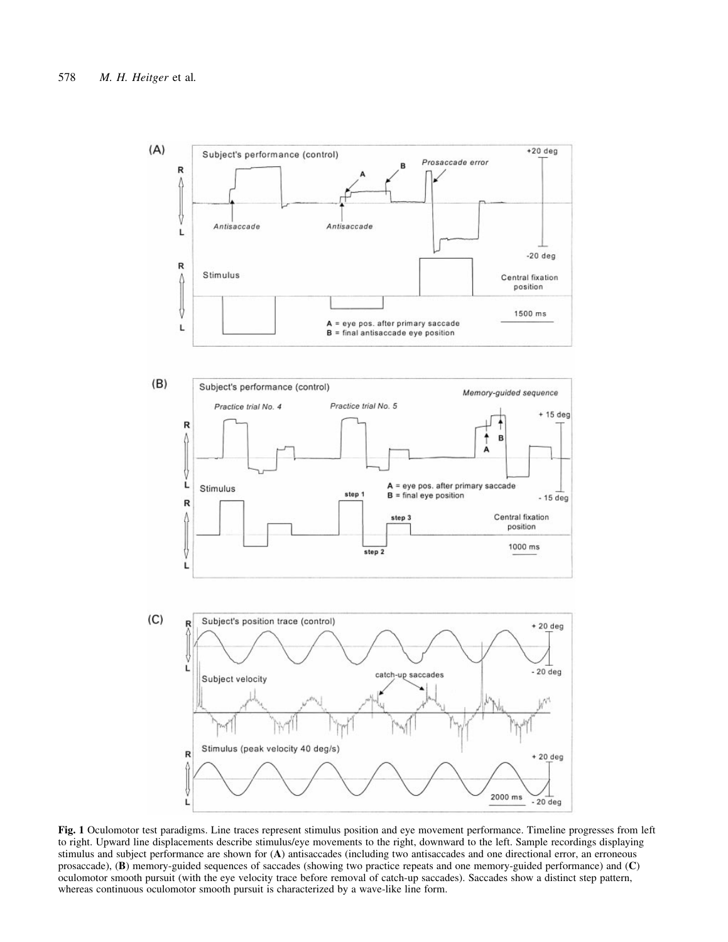

Fig. 1 Oculomotor test paradigms. Line traces represent stimulus position and eye movement performance. Timeline progresses from left to right. Upward line displacements describe stimulus/eye movements to the right, downward to the left. Sample recordings displaying stimulus and subject performance are shown for (A) antisaccades (including two antisaccades and one directional error, an erroneous prosaccade), (B) memory-guided sequences of saccades (showing two practice repeats and one memory-guided performance) and (C) oculomotor smooth pursuit (with the eye velocity trace before removal of catch-up saccades). Saccades show a distinct step pattern, whereas continuous oculomotor smooth pursuit is characterized by a wave-like line form.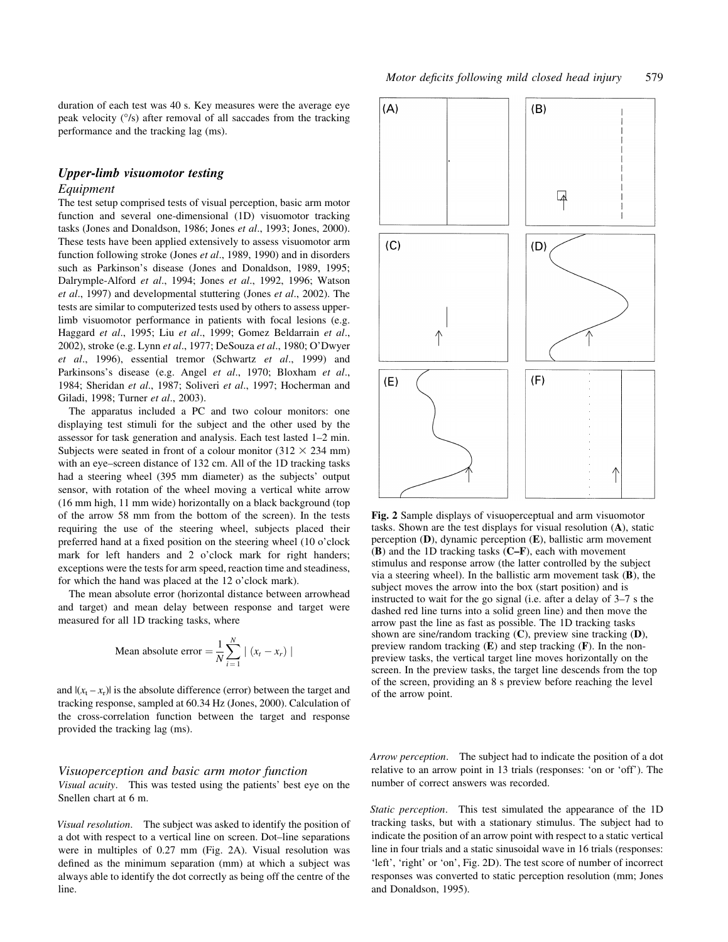duration of each test was 40 s. Key measures were the average eye peak velocity (°/s) after removal of all saccades from the tracking performance and the tracking lag (ms).

## Upper-limb visuomotor testing Equipment

The test setup comprised tests of visual perception, basic arm motor function and several one-dimensional (1D) visuomotor tracking tasks (Jones and Donaldson, 1986; Jones et al., 1993; Jones, 2000). These tests have been applied extensively to assess visuomotor arm function following stroke (Jones et al., 1989, 1990) and in disorders such as Parkinson's disease (Jones and Donaldson, 1989, 1995; Dalrymple-Alford et al., 1994; Jones et al., 1992, 1996; Watson et al., 1997) and developmental stuttering (Jones et al., 2002). The tests are similar to computerized tests used by others to assess upperlimb visuomotor performance in patients with focal lesions (e.g. Haggard et al., 1995; Liu et al., 1999; Gomez Beldarrain et al., 2002), stroke (e.g. Lynn et al., 1977; DeSouza et al., 1980; O'Dwyer et al., 1996), essential tremor (Schwartz et al., 1999) and Parkinsons's disease (e.g. Angel et al., 1970; Bloxham et al., 1984; Sheridan et al., 1987; Soliveri et al., 1997; Hocherman and Giladi, 1998; Turner et al., 2003).

The apparatus included a PC and two colour monitors: one displaying test stimuli for the subject and the other used by the assessor for task generation and analysis. Each test lasted  $1-2$  min. Subjects were seated in front of a colour monitor  $(312 \times 234 \text{ mm})$ with an eye-screen distance of 132 cm. All of the 1D tracking tasks had a steering wheel (395 mm diameter) as the subjects' output sensor, with rotation of the wheel moving a vertical white arrow (16 mm high, 11 mm wide) horizontally on a black background (top of the arrow 58 mm from the bottom of the screen). In the tests requiring the use of the steering wheel, subjects placed their preferred hand at a fixed position on the steering wheel  $(10 \text{ o}'$ clock mark for left handers and 2 o'clock mark for right handers; exceptions were the tests for arm speed, reaction time and steadiness, for which the hand was placed at the 12 o'clock mark).

The mean absolute error (horizontal distance between arrowhead and target) and mean delay between response and target were measured for all 1D tracking tasks, where

Mean absolute error 
$$
=
$$
  $\frac{1}{N} \sum_{i=1}^{N} |(x_t - x_r)|$ 

and  $|(x_t - x_r)|$  is the absolute difference (error) between the target and tracking response, sampled at 60.34 Hz (Jones, 2000). Calculation of the cross-correlation function between the target and response provided the tracking lag (ms).

#### Visuoperception and basic arm motor function Visual acuity. This was tested using the patients' best eye on the Snellen chart at 6 m.

Visual resolution. The subject was asked to identify the position of a dot with respect to a vertical line on screen. Dot-line separations were in multiples of 0.27 mm (Fig. 2A). Visual resolution was defined as the minimum separation (mm) at which a subject was always able to identify the dot correctly as being off the centre of the line.



Fig. 2 Sample displays of visuoperceptual and arm visuomotor tasks. Shown are the test displays for visual resolution (A), static perception (D), dynamic perception (E), ballistic arm movement  $(B)$  and the 1D tracking tasks  $(C-F)$ , each with movement stimulus and response arrow (the latter controlled by the subject via a steering wheel). In the ballistic arm movement task (B), the subject moves the arrow into the box (start position) and is instructed to wait for the go signal (i.e. after a delay of  $3-7$  s the dashed red line turns into a solid green line) and then move the arrow past the line as fast as possible. The 1D tracking tasks shown are sine/random tracking (C), preview sine tracking (D), preview random tracking  $(E)$  and step tracking  $(F)$ . In the nonpreview tasks, the vertical target line moves horizontally on the screen. In the preview tasks, the target line descends from the top of the screen, providing an 8 s preview before reaching the level of the arrow point.

Arrow perception. The subject had to indicate the position of a dot relative to an arrow point in 13 trials (responses: 'on or 'off'). The number of correct answers was recorded.

Static perception. This test simulated the appearance of the 1D tracking tasks, but with a stationary stimulus. The subject had to indicate the position of an arrow point with respect to a static vertical line in four trials and a static sinusoidal wave in 16 trials (responses: `left', `right' or `on', Fig. 2D). The test score of number of incorrect responses was converted to static perception resolution (mm; Jones and Donaldson, 1995).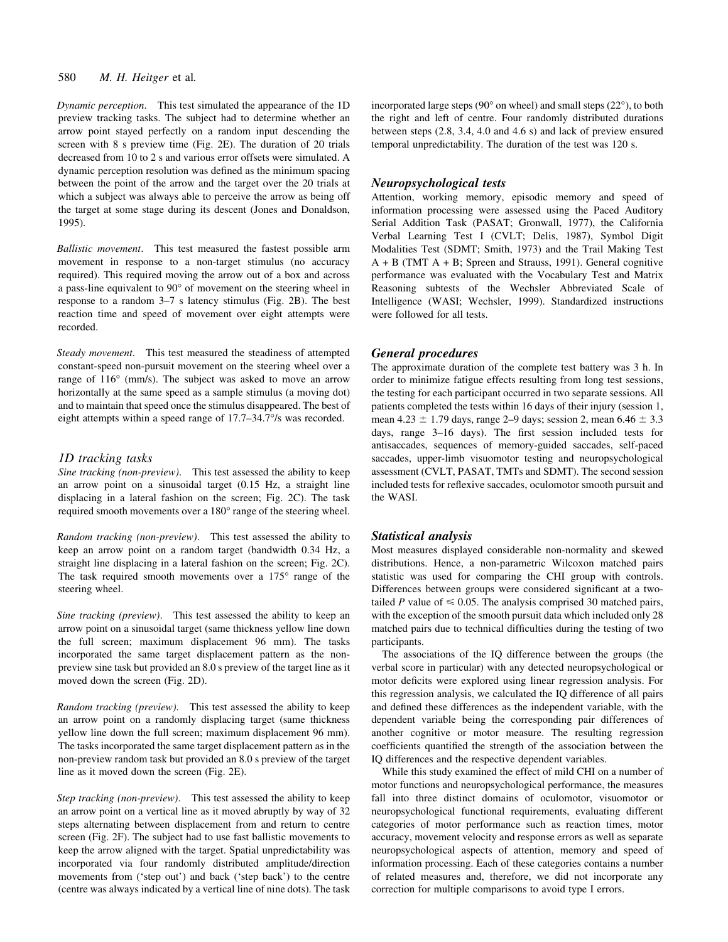Dynamic perception. This test simulated the appearance of the 1D preview tracking tasks. The subject had to determine whether an arrow point stayed perfectly on a random input descending the screen with 8 s preview time (Fig. 2E). The duration of 20 trials decreased from 10 to 2 s and various error offsets were simulated. A dynamic perception resolution was defined as the minimum spacing between the point of the arrow and the target over the 20 trials at which a subject was always able to perceive the arrow as being off the target at some stage during its descent (Jones and Donaldson, 1995).

Ballistic movement. This test measured the fastest possible arm movement in response to a non-target stimulus (no accuracy required). This required moving the arrow out of a box and across a pass-line equivalent to 90° of movement on the steering wheel in response to a random  $3-7$  s latency stimulus (Fig. 2B). The best reaction time and speed of movement over eight attempts were recorded.

Steady movement. This test measured the steadiness of attempted constant-speed non-pursuit movement on the steering wheel over a range of 116° (mm/s). The subject was asked to move an arrow horizontally at the same speed as a sample stimulus (a moving dot) and to maintain that speed once the stimulus disappeared. The best of eight attempts within a speed range of  $17.7-34.7\%$  was recorded.

#### 1D tracking tasks

Sine tracking (non-preview). This test assessed the ability to keep an arrow point on a sinusoidal target (0.15 Hz, a straight line displacing in a lateral fashion on the screen; Fig. 2C). The task required smooth movements over a 180° range of the steering wheel.

Random tracking (non-preview). This test assessed the ability to keep an arrow point on a random target (bandwidth 0.34 Hz, a straight line displacing in a lateral fashion on the screen; Fig. 2C). The task required smooth movements over a 175° range of the steering wheel.

Sine tracking (preview). This test assessed the ability to keep an arrow point on a sinusoidal target (same thickness yellow line down the full screen; maximum displacement 96 mm). The tasks incorporated the same target displacement pattern as the nonpreview sine task but provided an 8.0 s preview of the target line as it moved down the screen (Fig. 2D).

Random tracking (preview). This test assessed the ability to keep an arrow point on a randomly displacing target (same thickness yellow line down the full screen; maximum displacement 96 mm). The tasks incorporated the same target displacement pattern as in the non-preview random task but provided an 8.0 s preview of the target line as it moved down the screen (Fig. 2E).

Step tracking (non-preview). This test assessed the ability to keep an arrow point on a vertical line as it moved abruptly by way of 32 steps alternating between displacement from and return to centre screen (Fig. 2F). The subject had to use fast ballistic movements to keep the arrow aligned with the target. Spatial unpredictability was incorporated via four randomly distributed amplitude/direction movements from ('step out') and back ('step back') to the centre (centre was always indicated by a vertical line of nine dots). The task

incorporated large steps (90° on wheel) and small steps (22°), to both the right and left of centre. Four randomly distributed durations between steps (2.8, 3.4, 4.0 and 4.6 s) and lack of preview ensured temporal unpredictability. The duration of the test was 120 s.

# Neuropsychological tests

Attention, working memory, episodic memory and speed of information processing were assessed using the Paced Auditory Serial Addition Task (PASAT: Gronwall, 1977), the California Verbal Learning Test I (CVLT; Delis, 1987), Symbol Digit Modalities Test (SDMT; Smith, 1973) and the Trail Making Test  $A + B$  (TMT  $A + B$ ; Spreen and Strauss, 1991). General cognitive performance was evaluated with the Vocabulary Test and Matrix Reasoning subtests of the Wechsler Abbreviated Scale of Intelligence (WASI; Wechsler, 1999). Standardized instructions were followed for all tests.

#### General procedures

The approximate duration of the complete test battery was 3 h. In order to minimize fatigue effects resulting from long test sessions, the testing for each participant occurred in two separate sessions. All patients completed the tests within 16 days of their injury (session 1, mean  $4.23 \pm 1.79$  days, range 2–9 days; session 2, mean  $6.46 \pm 3.3$ days, range 3-16 days). The first session included tests for antisaccades, sequences of memory-guided saccades, self-paced saccades, upper-limb visuomotor testing and neuropsychological assessment (CVLT, PASAT, TMTs and SDMT). The second session included tests for reflexive saccades, oculomotor smooth pursuit and the WASI.

#### Statistical analysis

Most measures displayed considerable non-normality and skewed distributions. Hence, a non-parametric Wilcoxon matched pairs statistic was used for comparing the CHI group with controls. Differences between groups were considered significant at a twotailed P value of  $\leq 0.05$ . The analysis comprised 30 matched pairs, with the exception of the smooth pursuit data which included only 28 matched pairs due to technical difficulties during the testing of two participants.

The associations of the IQ difference between the groups (the verbal score in particular) with any detected neuropsychological or motor deficits were explored using linear regression analysis. For this regression analysis, we calculated the IQ difference of all pairs and defined these differences as the independent variable, with the dependent variable being the corresponding pair differences of another cognitive or motor measure. The resulting regression coefficients quantified the strength of the association between the IQ differences and the respective dependent variables.

While this study examined the effect of mild CHI on a number of motor functions and neuropsychological performance, the measures fall into three distinct domains of oculomotor, visuomotor or neuropsychological functional requirements, evaluating different categories of motor performance such as reaction times, motor accuracy, movement velocity and response errors as well as separate neuropsychological aspects of attention, memory and speed of information processing. Each of these categories contains a number of related measures and, therefore, we did not incorporate any correction for multiple comparisons to avoid type I errors.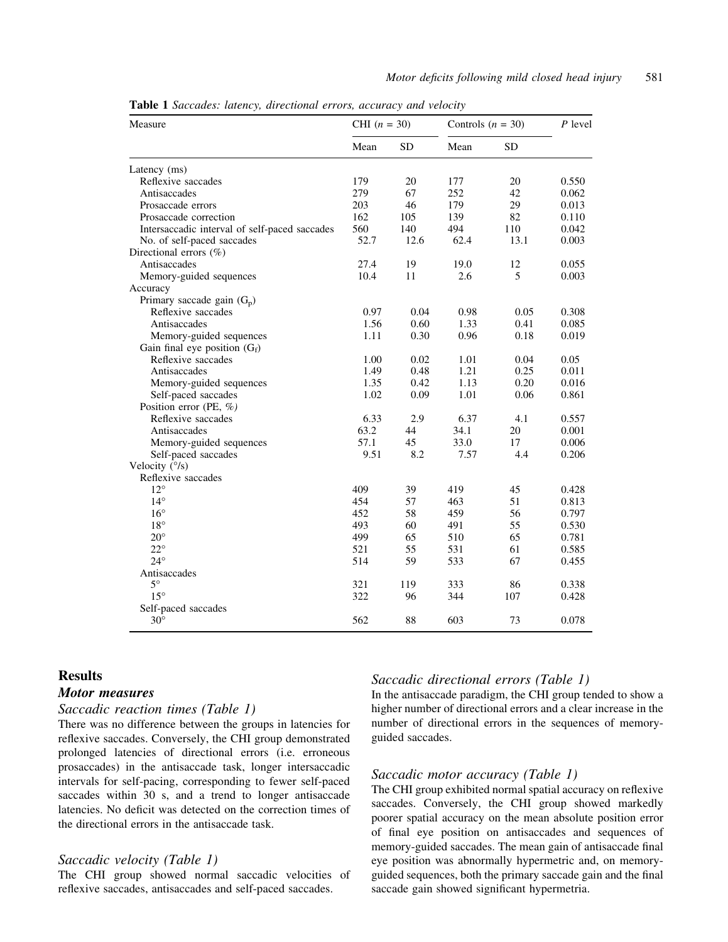Measure CHI  $(n = 30)$  Controls  $(n = 30)$  P level Mean SD Mean SD Latency (ms) Reflexive saccades 179 20 177 20 0.550<br>
Antisaccades 279 67 252 42 0.062 Antisaccades 279 67 252 42 0.062 Prosaccade errors 203 46 179 29 0.013 Prosaccade correction 162 105 139 82 0.110 Intersaccadic interval of self-paced saccades 560 140 494 110 0.042 No. of self-paced saccades 52.7 12.6 62.4 13.1 0.003 Directional errors (%) Antisaccades 27.4 19 19.0 12 0.055 Memory-guided sequences 10.4 11 2.6 5 0.003 Accuracy Primary saccade gain  $(G_n)$ Reflexive saccades  $\begin{array}{cccc} 0.97 & 0.04 & 0.98 & 0.05 & 0.308 \\ 1.56 & 0.60 & 1.33 & 0.41 & 0.085 \end{array}$ Antisaccades 1.56 0.60 1.33 0.41 0.085 Memory-guided sequences 1.11 0.30 0.96 0.18 0.019 Gain final eye position  $(G_f)$ Reflexive saccades 1.00 0.02 1.01 0.04 0.05<br>Antisaccades 1.49 0.48 1.21 0.25 0.011 Antisaccades 1.49 0.48 1.21 0.25<br>Memory-guided sequences 1.35 0.42 1.13 0.20 Memory-guided sequences 1.35 0.42 1.13 0.20 0.016 Self-paced saccades 1.02 0.09 1.01 0.06 0.861 Position error (PE, %) Reflexive saccades 6.33 2.9 6.37 4.1 0.557<br>Antisaccades 63.2 44 34.1 20 0.001 Antisaccades 63.2 44 34.1 20 0.001 Memory-guided sequences 57.1 45 33.0 17 0.006 Self-paced saccades 8.2 9.51 8.2 7.57 4.4 0.206 Velocity (°/s) Reflexive saccades 12° 409 39 419 45 0.428 14<sup>°</sup> 14<sup>5</sup> 14<sup>°</sup> 14<sup>°</sup> 14<sup>°</sup> 14<sup>°</sup> 14<sup>°</sup> 14<sup>5</sup> 15<sup>1</sup> 14<sup>°</sup> 15<sup>1</sup> 16<sup>3</sup> 16° 452 58 459 56 0.797 18<sup>°</sup> 18<sup>°</sup> 18<sup>°</sup> 18<sup>°</sup> 19<sup>3</sup> 19<sup>3</sup> 19<sup>3</sup> 19<sup>4</sup> 19<sup>3</sup> 195 20° 499 65 510 65 0.781 22° 521 55 531 61 0.585 24° 514 59 533 67 0.455 Antisaccades<br>5° 5° 321 119 333 86 0.338 15° 322 96 344 107 0.428 Self-paced saccades  $30^{\circ}$  562 88 603 73 0.078

Table 1 Saccades: latency, directional errors, accuracy and velocity

# **Results**

## Motor measures

## Saccadic reaction times (Table 1)

There was no difference between the groups in latencies for reflexive saccades. Conversely, the CHI group demonstrated prolonged latencies of directional errors (i.e. erroneous prosaccades) in the antisaccade task, longer intersaccadic intervals for self-pacing, corresponding to fewer self-paced saccades within 30 s, and a trend to longer antisaccade latencies. No deficit was detected on the correction times of the directional errors in the antisaccade task.

## Saccadic velocity (Table 1)

The CHI group showed normal saccadic velocities of reflexive saccades, antisaccades and self-paced saccades.

## Saccadic directional errors (Table 1)

In the antisaccade paradigm, the CHI group tended to show a higher number of directional errors and a clear increase in the number of directional errors in the sequences of memoryguided saccades.

#### Saccadic motor accuracy (Table 1)

The CHI group exhibited normal spatial accuracy on reflexive saccades. Conversely, the CHI group showed markedly poorer spatial accuracy on the mean absolute position error of final eye position on antisaccades and sequences of memory-guided saccades. The mean gain of antisaccade final eye position was abnormally hypermetric and, on memoryguided sequences, both the primary saccade gain and the final saccade gain showed significant hypermetria.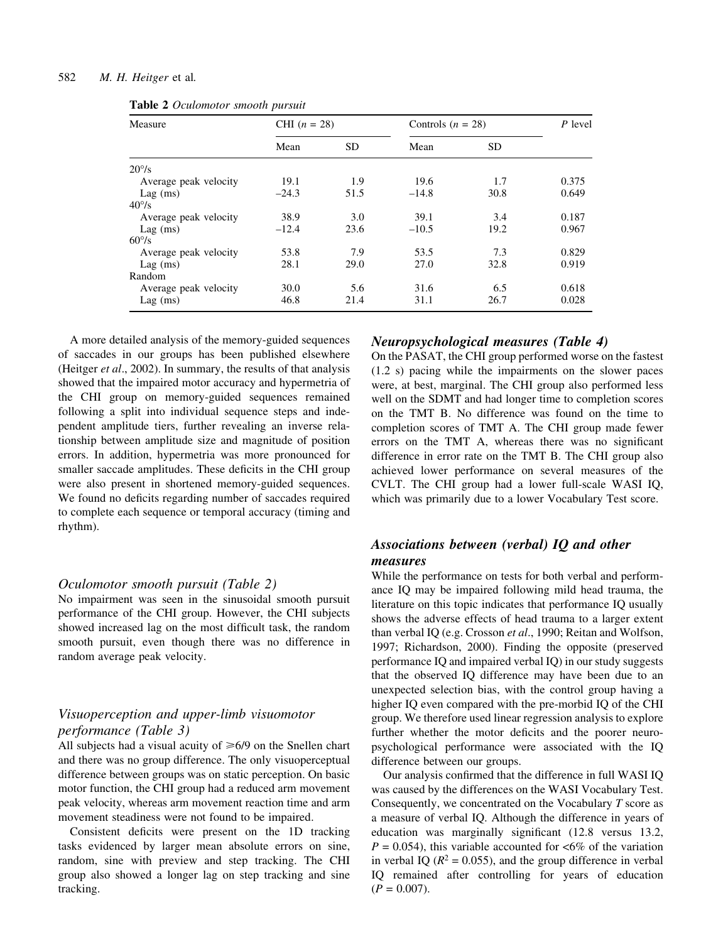|  |  | Table 2 Oculomotor smooth pursuit |  |  |
|--|--|-----------------------------------|--|--|
|--|--|-----------------------------------|--|--|

| Measure               | CHI $(n = 28)$ |           | Controls $(n = 28)$ |           | P level |
|-----------------------|----------------|-----------|---------------------|-----------|---------|
|                       | Mean           | <b>SD</b> | Mean                | <b>SD</b> |         |
| $20^{\circ}/s$        |                |           |                     |           |         |
| Average peak velocity | 19.1           | 1.9       | 19.6                | 1.7       | 0.375   |
| $Lag$ (ms)            | $-24.3$        | 51.5      | $-14.8$             | 30.8      | 0.649   |
| $40^{\circ}/s$        |                |           |                     |           |         |
| Average peak velocity | 38.9           | 3.0       | 39.1                | 3.4       | 0.187   |
| $Lag$ (ms)            | $-12.4$        | 23.6      | $-10.5$             | 19.2      | 0.967   |
| $60\%$                |                |           |                     |           |         |
| Average peak velocity | 53.8           | 7.9       | 53.5                | 7.3       | 0.829   |
| $Lag$ (ms)            | 28.1           | 29.0      | 27.0                | 32.8      | 0.919   |
| Random                |                |           |                     |           |         |
| Average peak velocity | 30.0           | 5.6       | 31.6                | 6.5       | 0.618   |
| $Lag$ (ms)            | 46.8           | 21.4      | 31.1                | 26.7      | 0.028   |

A more detailed analysis of the memory-guided sequences of saccades in our groups has been published elsewhere (Heitger et al., 2002). In summary, the results of that analysis showed that the impaired motor accuracy and hypermetria of the CHI group on memory-guided sequences remained following a split into individual sequence steps and independent amplitude tiers, further revealing an inverse relationship between amplitude size and magnitude of position errors. In addition, hypermetria was more pronounced for smaller saccade amplitudes. These deficits in the CHI group were also present in shortened memory-guided sequences. We found no deficits regarding number of saccades required to complete each sequence or temporal accuracy (timing and rhythm).

#### Oculomotor smooth pursuit (Table 2)

No impairment was seen in the sinusoidal smooth pursuit performance of the CHI group. However, the CHI subjects showed increased lag on the most difficult task, the random smooth pursuit, even though there was no difference in random average peak velocity.

# Visuoperception and upper-limb visuomotor performance (Table 3)

All subjects had a visual acuity of  $\geq 6/9$  on the Snellen chart and there was no group difference. The only visuoperceptual difference between groups was on static perception. On basic motor function, the CHI group had a reduced arm movement peak velocity, whereas arm movement reaction time and arm movement steadiness were not found to be impaired.

Consistent deficits were present on the 1D tracking tasks evidenced by larger mean absolute errors on sine, random, sine with preview and step tracking. The CHI group also showed a longer lag on step tracking and sine tracking.

# Neuropsychological measures (Table 4)

On the PASAT, the CHI group performed worse on the fastest (1.2 s) pacing while the impairments on the slower paces were, at best, marginal. The CHI group also performed less well on the SDMT and had longer time to completion scores on the TMT B. No difference was found on the time to completion scores of TMT A. The CHI group made fewer errors on the TMT A, whereas there was no significant difference in error rate on the TMT B. The CHI group also achieved lower performance on several measures of the CVLT. The CHI group had a lower full-scale WASI IQ, which was primarily due to a lower Vocabulary Test score.

# Associations between (verbal) IQ and other measures

While the performance on tests for both verbal and performance IQ may be impaired following mild head trauma, the literature on this topic indicates that performance IQ usually shows the adverse effects of head trauma to a larger extent than verbal IQ (e.g. Crosson et al., 1990; Reitan and Wolfson, 1997; Richardson, 2000). Finding the opposite (preserved performance IQ and impaired verbal IQ) in our study suggests that the observed IQ difference may have been due to an unexpected selection bias, with the control group having a higher IQ even compared with the pre-morbid IQ of the CHI group. We therefore used linear regression analysis to explore further whether the motor deficits and the poorer neuropsychological performance were associated with the IQ difference between our groups.

Our analysis confirmed that the difference in full WASI IQ was caused by the differences on the WASI Vocabulary Test. Consequently, we concentrated on the Vocabulary  $T$  score as a measure of verbal IQ. Although the difference in years of education was marginally significant  $(12.8 \text{ versus } 13.2,$  $P = 0.054$ , this variable accounted for <6% of the variation in verbal IQ ( $R^2 = 0.055$ ), and the group difference in verbal IQ remained after controlling for years of education  $(P = 0.007)$ .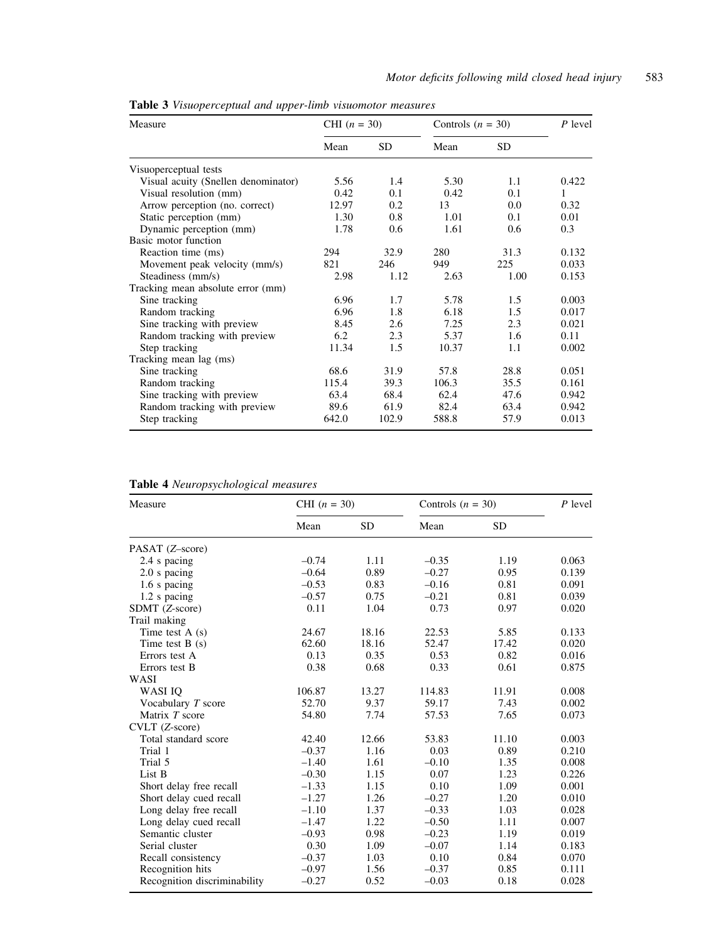| Measure                             | CHI $(n = 30)$ |           | Controls $(n = 30)$ |           | P level |
|-------------------------------------|----------------|-----------|---------------------|-----------|---------|
|                                     | Mean           | <b>SD</b> | Mean                | <b>SD</b> |         |
| Visuoperceptual tests               |                |           |                     |           |         |
| Visual acuity (Snellen denominator) | 5.56           | 1.4       | 5.30                | 1.1       | 0.422   |
| Visual resolution (mm)              | 0.42           | 0.1       | 0.42                | 0.1       | 1       |
| Arrow perception (no. correct)      | 12.97          | 0.2       | 13                  | 0.0       | 0.32    |
| Static perception (mm)              | 1.30           | 0.8       | 1.01                | 0.1       | 0.01    |
| Dynamic perception (mm)             | 1.78           | 0.6       | 1.61                | 0.6       | 0.3     |
| Basic motor function                |                |           |                     |           |         |
| Reaction time (ms)                  | 294            | 32.9      | 280                 | 31.3      | 0.132   |
| Movement peak velocity (mm/s)       | 821            | 246       | 949                 | 225       | 0.033   |
| Steadiness (mm/s)                   | 2.98           | 1.12      | 2.63                | 1.00      | 0.153   |
| Tracking mean absolute error (mm)   |                |           |                     |           |         |
| Sine tracking                       | 6.96           | 1.7       | 5.78                | 1.5       | 0.003   |
| Random tracking                     | 6.96           | 1.8       | 6.18                | 1.5       | 0.017   |
| Sine tracking with preview          | 8.45           | 2.6       | 7.25                | 2.3       | 0.021   |
| Random tracking with preview        | 6.2            | 2.3       | 5.37                | 1.6       | 0.11    |
| Step tracking                       | 11.34          | 1.5       | 10.37               | 1.1       | 0.002   |
| Tracking mean lag (ms)              |                |           |                     |           |         |
| Sine tracking                       | 68.6           | 31.9      | 57.8                | 28.8      | 0.051   |
| Random tracking                     | 115.4          | 39.3      | 106.3               | 35.5      | 0.161   |
| Sine tracking with preview          | 63.4           | 68.4      | 62.4                | 47.6      | 0.942   |
| Random tracking with preview        | 89.6           | 61.9      | 82.4                | 63.4      | 0.942   |
| Step tracking                       | 642.0          | 102.9     | 588.8               | 57.9      | 0.013   |

Table 3 Visuoperceptual and upper-limb visuomotor measures

| Measure                      | CHI $(n = 30)$ |           | Controls $(n = 30)$ |           | $P$ level |
|------------------------------|----------------|-----------|---------------------|-----------|-----------|
|                              | Mean           | <b>SD</b> | Mean                | <b>SD</b> |           |
| PASAT (Z-score)              |                |           |                     |           |           |
| 2.4 s pacing                 | $-0.74$        | 1.11      | $-0.35$             | 1.19      | 0.063     |
| $2.0$ s pacing               | $-0.64$        | 0.89      | $-0.27$             | 0.95      | 0.139     |
| 1.6 s pacing                 | $-0.53$        | 0.83      | $-0.16$             | 0.81      | 0.091     |
| 1.2 s pacing                 | $-0.57$        | 0.75      | $-0.21$             | 0.81      | 0.039     |
| SDMT (Z-score)               | 0.11           | 1.04      | 0.73                | 0.97      | 0.020     |
| Trail making                 |                |           |                     |           |           |
| Time test $A(s)$             | 24.67          | 18.16     | 22.53               | 5.85      | 0.133     |
| Time test $B(s)$             | 62.60          | 18.16     | 52.47               | 17.42     | 0.020     |
| Errors test A                | 0.13           | 0.35      | 0.53                | 0.82      | 0.016     |
| Errors test B                | 0.38           | 0.68      | 0.33                | 0.61      | 0.875     |
| WASI                         |                |           |                     |           |           |
| WASI IO                      | 106.87         | 13.27     | 114.83              | 11.91     | 0.008     |
| Vocabulary $T$ score         | 52.70          | 9.37      | 59.17               | 7.43      | 0.002     |
| Matrix T score               | 54.80          | 7.74      | 57.53               | 7.65      | 0.073     |
| CVLT (Z-score)               |                |           |                     |           |           |
| Total standard score         | 42.40          | 12.66     | 53.83               | 11.10     | 0.003     |
| Trial 1                      | $-0.37$        | 1.16      | 0.03                | 0.89      | 0.210     |
| Trial 5                      | $-1.40$        | 1.61      | $-0.10$             | 1.35      | 0.008     |
| List B                       | $-0.30$        | 1.15      | 0.07                | 1.23      | 0.226     |
| Short delay free recall      | $-1.33$        | 1.15      | 0.10                | 1.09      | 0.001     |
| Short delay cued recall      | $-1.27$        | 1.26      | $-0.27$             | 1.20      | 0.010     |
| Long delay free recall       | $-1.10$        | 1.37      | $-0.33$             | 1.03      | 0.028     |
| Long delay cued recall       | $-1.47$        | 1.22      | $-0.50$             | 1.11      | 0.007     |
| Semantic cluster             | $-0.93$        | 0.98      | $-0.23$             | 1.19      | 0.019     |
| Serial cluster               | 0.30           | 1.09      | $-0.07$             | 1.14      | 0.183     |
| Recall consistency           | $-0.37$        | 1.03      | 0.10                | 0.84      | 0.070     |
| Recognition hits             | $-0.97$        | 1.56      | $-0.37$             | 0.85      | 0.111     |
| Recognition discriminability | $-0.27$        | 0.52      | $-0.03$             | 0.18      | 0.028     |

# Table 4 Neuropsychological measures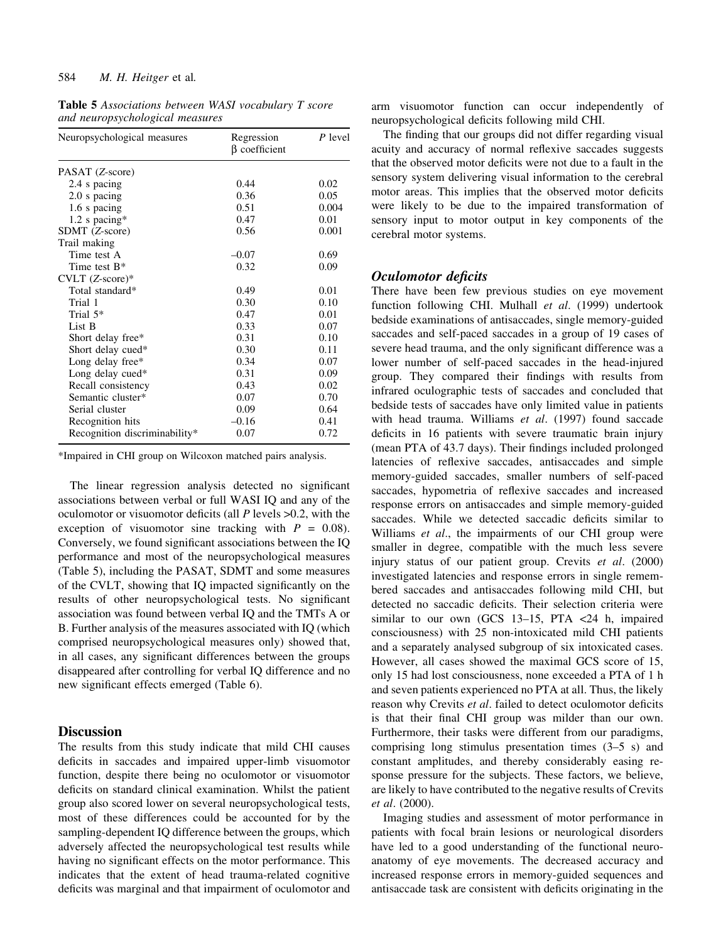Table 5 Associations between WASI vocabulary T score and neuropsychological measures

| Neuropsychological measures   | Regression<br>$\beta$ coefficient | $P$ level |
|-------------------------------|-----------------------------------|-----------|
| PASAT (Z-score)               |                                   |           |
| 2.4 s pacing                  | 0.44                              | 0.02      |
| 2.0 s pacing                  | 0.36                              | 0.05      |
| 1.6 s pacing                  | 0.51                              | 0.004     |
| $1.2$ s pacing*               | 0.47                              | 0.01      |
| SDMT (Z-score)                | 0.56                              | 0.001     |
| Trail making                  |                                   |           |
| Time test A                   | $-0.07$                           | 0.69      |
| Time test $B^*$               | 0.32                              | 0.09      |
| CVLT (Z-score)*               |                                   |           |
| Total standard*               | 0.49                              | 0.01      |
| Trial 1                       | 0.30                              | 0.10      |
| Trial $5*$                    | 0.47                              | 0.01      |
| List B                        | 0.33                              | 0.07      |
| Short delay free*             | 0.31                              | 0.10      |
| Short delay cued*             | 0.30                              | 0.11      |
| Long delay free*              | 0.34                              | 0.07      |
| Long delay cued*              | 0.31                              | 0.09      |
| Recall consistency            | 0.43                              | 0.02      |
| Semantic cluster*             | 0.07                              | 0.70      |
| Serial cluster                | 0.09                              | 0.64      |
| Recognition hits              | $-0.16$                           | 0.41      |
| Recognition discriminability* | 0.07                              | 0.72      |

\*Impaired in CHI group on Wilcoxon matched pairs analysis.

The linear regression analysis detected no significant associations between verbal or full WASI IQ and any of the oculomotor or visuomotor deficits (all  $P$  levels  $>0.2$ , with the exception of visuomotor sine tracking with  $P = 0.08$ . Conversely, we found significant associations between the IQ performance and most of the neuropsychological measures (Table 5), including the PASAT, SDMT and some measures of the CVLT, showing that IQ impacted significantly on the results of other neuropsychological tests. No significant association was found between verbal IQ and the TMTs A or B. Further analysis of the measures associated with IQ (which comprised neuropsychological measures only) showed that, in all cases, any significant differences between the groups disappeared after controlling for verbal IQ difference and no new significant effects emerged (Table 6).

## **Discussion**

The results from this study indicate that mild CHI causes deficits in saccades and impaired upper-limb visuomotor function, despite there being no oculomotor or visuomotor deficits on standard clinical examination. Whilst the patient group also scored lower on several neuropsychological tests, most of these differences could be accounted for by the sampling-dependent IQ difference between the groups, which adversely affected the neuropsychological test results while having no significant effects on the motor performance. This indicates that the extent of head trauma-related cognitive deficits was marginal and that impairment of oculomotor and arm visuomotor function can occur independently of neuropsychological deficits following mild CHI.

The finding that our groups did not differ regarding visual acuity and accuracy of normal reflexive saccades suggests that the observed motor deficits were not due to a fault in the sensory system delivering visual information to the cerebral motor areas. This implies that the observed motor deficits were likely to be due to the impaired transformation of sensory input to motor output in key components of the cerebral motor systems.

## Oculomotor deficits

There have been few previous studies on eye movement function following CHI. Mulhall et al. (1999) undertook bedside examinations of antisaccades, single memory-guided saccades and self-paced saccades in a group of 19 cases of severe head trauma, and the only significant difference was a lower number of self-paced saccades in the head-injured group. They compared their findings with results from infrared oculographic tests of saccades and concluded that bedside tests of saccades have only limited value in patients with head trauma. Williams et al. (1997) found saccade deficits in 16 patients with severe traumatic brain injury (mean PTA of 43.7 days). Their findings included prolonged latencies of reflexive saccades, antisaccades and simple memory-guided saccades, smaller numbers of self-paced saccades, hypometria of reflexive saccades and increased response errors on antisaccades and simple memory-guided saccades. While we detected saccadic deficits similar to Williams *et al.*, the impairments of our CHI group were smaller in degree, compatible with the much less severe injury status of our patient group. Crevits et al. (2000) investigated latencies and response errors in single remembered saccades and antisaccades following mild CHI, but detected no saccadic deficits. Their selection criteria were similar to our own (GCS  $13-15$ , PTA <24 h, impaired consciousness) with 25 non-intoxicated mild CHI patients and a separately analysed subgroup of six intoxicated cases. However, all cases showed the maximal GCS score of 15, only 15 had lost consciousness, none exceeded a PTA of 1 h and seven patients experienced no PTA at all. Thus, the likely reason why Crevits et al. failed to detect oculomotor deficits is that their final CHI group was milder than our own. Furthermore, their tasks were different from our paradigms, comprising long stimulus presentation times  $(3-5 s)$  and constant amplitudes, and thereby considerably easing response pressure for the subjects. These factors, we believe, are likely to have contributed to the negative results of Crevits et al. (2000).

Imaging studies and assessment of motor performance in patients with focal brain lesions or neurological disorders have led to a good understanding of the functional neuroanatomy of eye movements. The decreased accuracy and increased response errors in memory-guided sequences and antisaccade task are consistent with deficits originating in the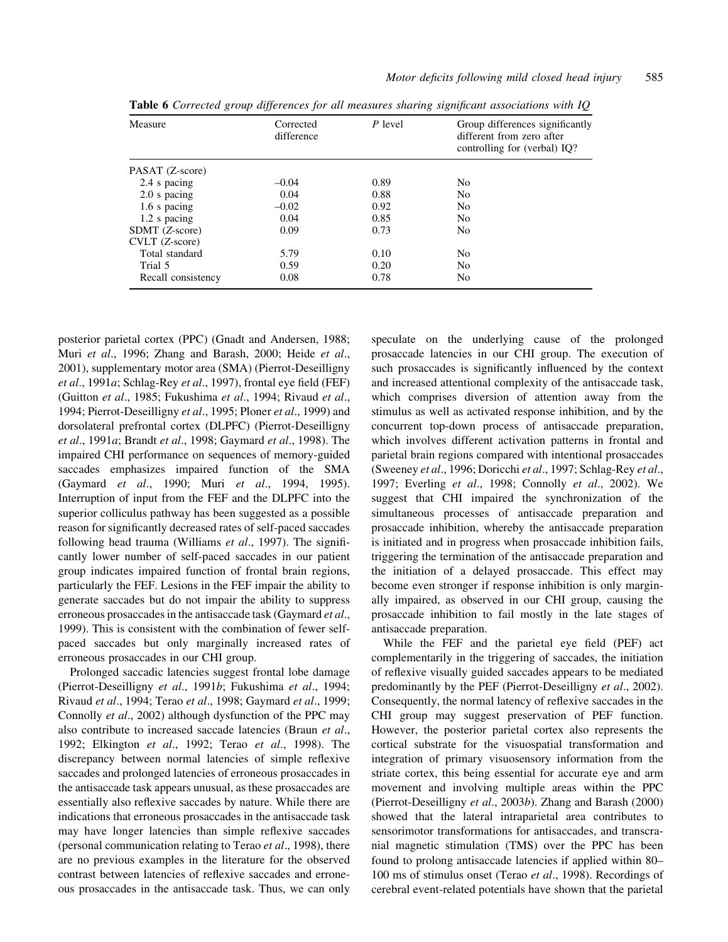| Measure            | Corrected<br>difference | $P$ level | Group differences significantly<br>different from zero after<br>controlling for (verbal) IQ? |
|--------------------|-------------------------|-----------|----------------------------------------------------------------------------------------------|
| PASAT (Z-score)    |                         |           |                                                                                              |
| 2.4 s pacing       | $-0.04$                 | 0.89      | N <sub>0</sub>                                                                               |
| 2.0 s pacing       | 0.04                    | 0.88      | N <sub>0</sub>                                                                               |
| 1.6 s pacing       | $-0.02$                 | 0.92      | N <sub>0</sub>                                                                               |
| 1.2 s pacing       | 0.04                    | 0.85      | N <sub>0</sub>                                                                               |
| SDMT (Z-score)     | 0.09                    | 0.73      | N <sub>0</sub>                                                                               |
| $CULT (Z-score)$   |                         |           |                                                                                              |
| Total standard     | 5.79                    | 0.10      | N <sub>0</sub>                                                                               |
| Trial 5            | 0.59                    | 0.20      | N <sub>0</sub>                                                                               |
| Recall consistency | 0.08                    | 0.78      | N <sub>0</sub>                                                                               |

Table 6 Corrected group differences for all measures sharing significant associations with IO

posterior parietal cortex (PPC) (Gnadt and Andersen, 1988; Muri et al., 1996; Zhang and Barash, 2000; Heide et al., 2001), supplementary motor area (SMA) (Pierrot-Deseilligny et al., 1991a; Schlag-Rey et al., 1997), frontal eye field (FEF) (Guitton et al., 1985; Fukushima et al., 1994; Rivaud et al., 1994; Pierrot-Deseilligny et al., 1995; Ploner et al., 1999) and dorsolateral prefrontal cortex (DLPFC) (Pierrot-Deseilligny et al., 1991a; Brandt et al., 1998; Gaymard et al., 1998). The impaired CHI performance on sequences of memory-guided saccades emphasizes impaired function of the SMA (Gaymard et al., 1990; Muri et al., 1994, 1995). Interruption of input from the FEF and the DLPFC into the superior colliculus pathway has been suggested as a possible reason for significantly decreased rates of self-paced saccades following head trauma (Williams  $et$  al., 1997). The significantly lower number of self-paced saccades in our patient group indicates impaired function of frontal brain regions, particularly the FEF. Lesions in the FEF impair the ability to generate saccades but do not impair the ability to suppress erroneous prosaccades in the antisaccade task (Gaymard et al., 1999). This is consistent with the combination of fewer selfpaced saccades but only marginally increased rates of erroneous prosaccades in our CHI group.

Prolonged saccadic latencies suggest frontal lobe damage (Pierrot-Deseilligny et al., 1991b; Fukushima et al., 1994; Rivaud et al., 1994; Terao et al., 1998; Gaymard et al., 1999; Connolly et al., 2002) although dysfunction of the PPC may also contribute to increased saccade latencies (Braun et al., 1992; Elkington et al., 1992; Terao et al., 1998). The discrepancy between normal latencies of simple reflexive saccades and prolonged latencies of erroneous prosaccades in the antisaccade task appears unusual, as these prosaccades are essentially also reflexive saccades by nature. While there are indications that erroneous prosaccades in the antisaccade task may have longer latencies than simple reflexive saccades (personal communication relating to Terao et al., 1998), there are no previous examples in the literature for the observed contrast between latencies of reflexive saccades and erroneous prosaccades in the antisaccade task. Thus, we can only

speculate on the underlying cause of the prolonged prosaccade latencies in our CHI group. The execution of such prosaccades is significantly influenced by the context and increased attentional complexity of the antisaccade task, which comprises diversion of attention away from the stimulus as well as activated response inhibition, and by the concurrent top-down process of antisaccade preparation, which involves different activation patterns in frontal and parietal brain regions compared with intentional prosaccades (Sweeney et al., 1996; Doricchi et al., 1997; Schlag-Rey et al., 1997; Everling et al., 1998; Connolly et al., 2002). We suggest that CHI impaired the synchronization of the simultaneous processes of antisaccade preparation and prosaccade inhibition, whereby the antisaccade preparation is initiated and in progress when prosaccade inhibition fails, triggering the termination of the antisaccade preparation and the initiation of a delayed prosaccade. This effect may become even stronger if response inhibition is only marginally impaired, as observed in our CHI group, causing the prosaccade inhibition to fail mostly in the late stages of antisaccade preparation.

While the FEF and the parietal eye field (PEF) act complementarily in the triggering of saccades, the initiation of reflexive visually guided saccades appears to be mediated predominantly by the PEF (Pierrot-Deseilligny et al., 2002). Consequently, the normal latency of reflexive saccades in the CHI group may suggest preservation of PEF function. However, the posterior parietal cortex also represents the cortical substrate for the visuospatial transformation and integration of primary visuosensory information from the striate cortex, this being essential for accurate eye and arm movement and involving multiple areas within the PPC (Pierrot-Deseilligny et al., 2003b). Zhang and Barash (2000) showed that the lateral intraparietal area contributes to sensorimotor transformations for antisaccades, and transcranial magnetic stimulation (TMS) over the PPC has been found to prolong antisaccade latencies if applied within 80– 100 ms of stimulus onset (Terao et al., 1998). Recordings of cerebral event-related potentials have shown that the parietal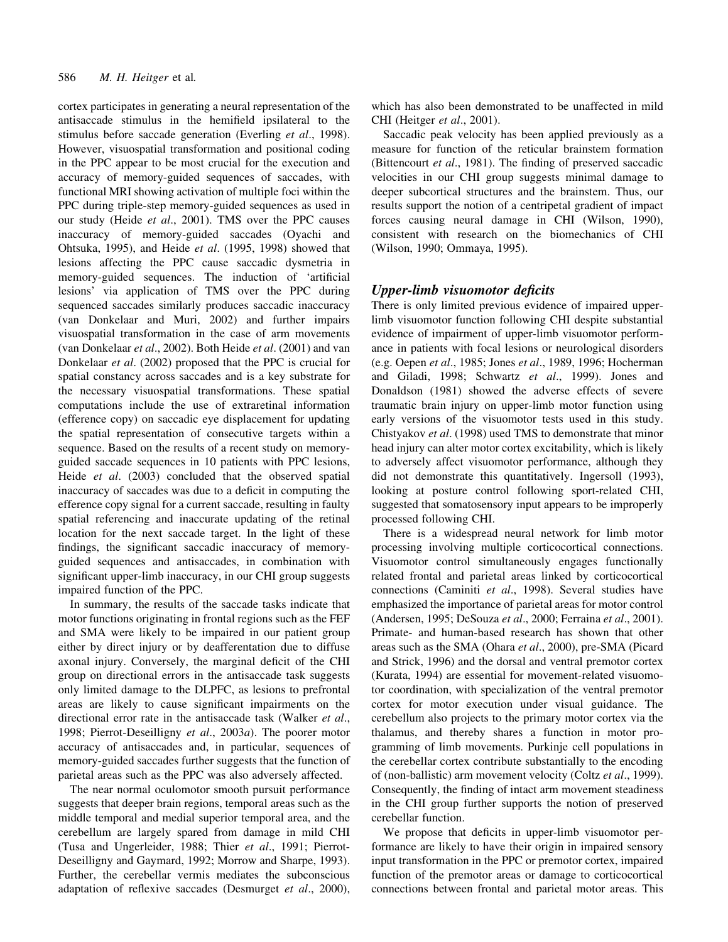cortex participates in generating a neural representation of the antisaccade stimulus in the hemifield ipsilateral to the stimulus before saccade generation (Everling et al., 1998). However, visuospatial transformation and positional coding in the PPC appear to be most crucial for the execution and accuracy of memory-guided sequences of saccades, with functional MRI showing activation of multiple foci within the PPC during triple-step memory-guided sequences as used in our study (Heide et al., 2001). TMS over the PPC causes inaccuracy of memory-guided saccades (Oyachi and Ohtsuka, 1995), and Heide et al. (1995, 1998) showed that lesions affecting the PPC cause saccadic dysmetria in memory-guided sequences. The induction of 'artificial lesions' via application of TMS over the PPC during sequenced saccades similarly produces saccadic inaccuracy (van Donkelaar and Muri, 2002) and further impairs visuospatial transformation in the case of arm movements (van Donkelaar et al., 2002). Both Heide et al. (2001) and van Donkelaar et al. (2002) proposed that the PPC is crucial for spatial constancy across saccades and is a key substrate for the necessary visuospatial transformations. These spatial computations include the use of extraretinal information (efference copy) on saccadic eye displacement for updating the spatial representation of consecutive targets within a sequence. Based on the results of a recent study on memoryguided saccade sequences in 10 patients with PPC lesions, Heide et al. (2003) concluded that the observed spatial inaccuracy of saccades was due to a deficit in computing the efference copy signal for a current saccade, resulting in faulty spatial referencing and inaccurate updating of the retinal location for the next saccade target. In the light of these findings, the significant saccadic inaccuracy of memoryguided sequences and antisaccades, in combination with significant upper-limb inaccuracy, in our CHI group suggests impaired function of the PPC.

In summary, the results of the saccade tasks indicate that motor functions originating in frontal regions such as the FEF and SMA were likely to be impaired in our patient group either by direct injury or by deafferentation due to diffuse axonal injury. Conversely, the marginal deficit of the CHI group on directional errors in the antisaccade task suggests only limited damage to the DLPFC, as lesions to prefrontal areas are likely to cause significant impairments on the directional error rate in the antisaccade task (Walker *et al.*, 1998; Pierrot-Deseilligny et al., 2003a). The poorer motor accuracy of antisaccades and, in particular, sequences of memory-guided saccades further suggests that the function of parietal areas such as the PPC was also adversely affected.

The near normal oculomotor smooth pursuit performance suggests that deeper brain regions, temporal areas such as the middle temporal and medial superior temporal area, and the cerebellum are largely spared from damage in mild CHI (Tusa and Ungerleider, 1988; Thier et al., 1991; Pierrot-Deseilligny and Gaymard, 1992; Morrow and Sharpe, 1993). Further, the cerebellar vermis mediates the subconscious adaptation of reflexive saccades (Desmurget  $et$   $al., 2000$ ),

which has also been demonstrated to be unaffected in mild CHI (Heitger et al., 2001).

Saccadic peak velocity has been applied previously as a measure for function of the reticular brainstem formation (Bittencourt  $et$  al., 1981). The finding of preserved saccadic velocities in our CHI group suggests minimal damage to deeper subcortical structures and the brainstem. Thus, our results support the notion of a centripetal gradient of impact forces causing neural damage in CHI (Wilson, 1990), consistent with research on the biomechanics of CHI (Wilson, 1990; Ommaya, 1995).

# Upper-limb visuomotor deficits

There is only limited previous evidence of impaired upperlimb visuomotor function following CHI despite substantial evidence of impairment of upper-limb visuomotor performance in patients with focal lesions or neurological disorders (e.g. Oepen et al., 1985; Jones et al., 1989, 1996; Hocherman and Giladi, 1998; Schwartz et al., 1999). Jones and Donaldson (1981) showed the adverse effects of severe traumatic brain injury on upper-limb motor function using early versions of the visuomotor tests used in this study. Chistyakov et al. (1998) used TMS to demonstrate that minor head injury can alter motor cortex excitability, which is likely to adversely affect visuomotor performance, although they did not demonstrate this quantitatively. Ingersoll (1993), looking at posture control following sport-related CHI, suggested that somatosensory input appears to be improperly processed following CHI.

There is a widespread neural network for limb motor processing involving multiple corticocortical connections. Visuomotor control simultaneously engages functionally related frontal and parietal areas linked by corticocortical connections (Caminiti et al., 1998). Several studies have emphasized the importance of parietal areas for motor control (Andersen, 1995; DeSouza et al., 2000; Ferraina et al., 2001). Primate- and human-based research has shown that other areas such as the SMA (Ohara et al., 2000), pre-SMA (Picard and Strick, 1996) and the dorsal and ventral premotor cortex (Kurata, 1994) are essential for movement-related visuomotor coordination, with specialization of the ventral premotor cortex for motor execution under visual guidance. The cerebellum also projects to the primary motor cortex via the thalamus, and thereby shares a function in motor programming of limb movements. Purkinje cell populations in the cerebellar cortex contribute substantially to the encoding of (non-ballistic) arm movement velocity (Coltz et al., 1999). Consequently, the finding of intact arm movement steadiness in the CHI group further supports the notion of preserved cerebellar function.

We propose that deficits in upper-limb visuomotor performance are likely to have their origin in impaired sensory input transformation in the PPC or premotor cortex, impaired function of the premotor areas or damage to corticocortical connections between frontal and parietal motor areas. This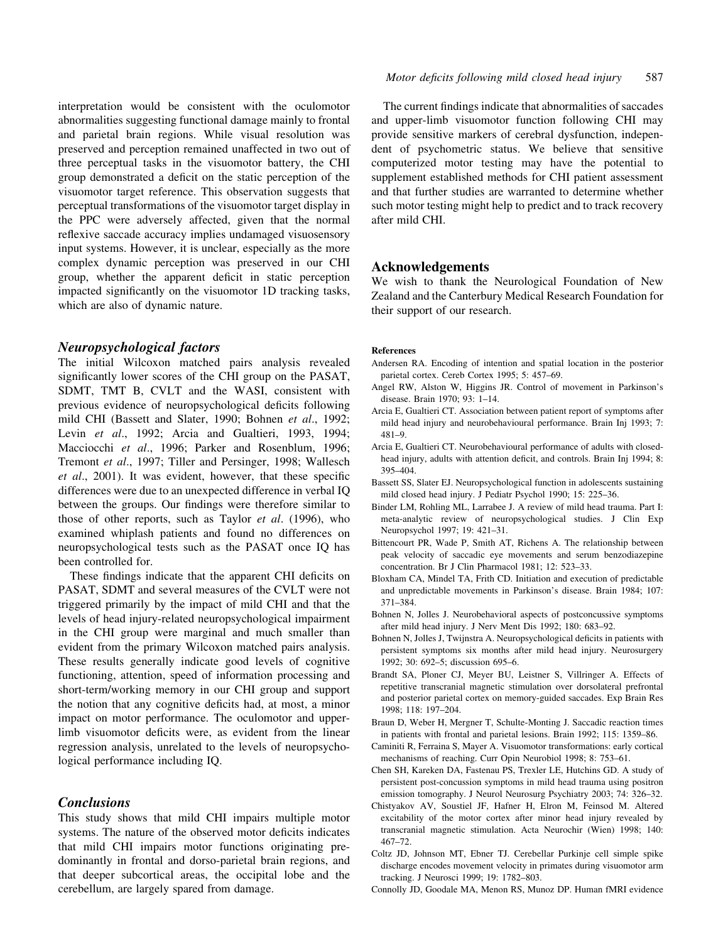interpretation would be consistent with the oculomotor abnormalities suggesting functional damage mainly to frontal and parietal brain regions. While visual resolution was preserved and perception remained unaffected in two out of three perceptual tasks in the visuomotor battery, the CHI group demonstrated a deficit on the static perception of the visuomotor target reference. This observation suggests that perceptual transformations of the visuomotor target display in the PPC were adversely affected, given that the normal reflexive saccade accuracy implies undamaged visuosensory input systems. However, it is unclear, especially as the more complex dynamic perception was preserved in our CHI group, whether the apparent deficit in static perception impacted significantly on the visuomotor 1D tracking tasks, which are also of dynamic nature.

#### Neuropsychological factors

The initial Wilcoxon matched pairs analysis revealed significantly lower scores of the CHI group on the PASAT, SDMT, TMT B, CVLT and the WASI, consistent with previous evidence of neuropsychological deficits following mild CHI (Bassett and Slater, 1990; Bohnen et al., 1992; Levin et al., 1992; Arcia and Gualtieri, 1993, 1994; Macciocchi et al., 1996; Parker and Rosenblum, 1996; Tremont et al., 1997; Tiller and Persinger, 1998; Wallesch  $et \ al., 2001$ ). It was evident, however, that these specific differences were due to an unexpected difference in verbal IQ between the groups. Our findings were therefore similar to those of other reports, such as Taylor et al. (1996), who examined whiplash patients and found no differences on neuropsychological tests such as the PASAT once IQ has been controlled for.

These findings indicate that the apparent CHI deficits on PASAT, SDMT and several measures of the CVLT were not triggered primarily by the impact of mild CHI and that the levels of head injury-related neuropsychological impairment in the CHI group were marginal and much smaller than evident from the primary Wilcoxon matched pairs analysis. These results generally indicate good levels of cognitive functioning, attention, speed of information processing and short-term/working memory in our CHI group and support the notion that any cognitive deficits had, at most, a minor impact on motor performance. The oculomotor and upperlimb visuomotor deficits were, as evident from the linear regression analysis, unrelated to the levels of neuropsychological performance including IQ.

## **Conclusions**

This study shows that mild CHI impairs multiple motor systems. The nature of the observed motor deficits indicates that mild CHI impairs motor functions originating predominantly in frontal and dorso-parietal brain regions, and that deeper subcortical areas, the occipital lobe and the cerebellum, are largely spared from damage.

The current findings indicate that abnormalities of saccades and upper-limb visuomotor function following CHI may provide sensitive markers of cerebral dysfunction, independent of psychometric status. We believe that sensitive computerized motor testing may have the potential to supplement established methods for CHI patient assessment and that further studies are warranted to determine whether such motor testing might help to predict and to track recovery after mild CHI.

# Acknowledgements

We wish to thank the Neurological Foundation of New Zealand and the Canterbury Medical Research Foundation for their support of our research.

#### References

- Andersen RA. Encoding of intention and spatial location in the posterior parietal cortex. Cereb Cortex 1995; 5: 457-69.
- Angel RW, Alston W, Higgins JR. Control of movement in Parkinson's disease. Brain 1970; 93: 1-14.
- Arcia E, Gualtieri CT. Association between patient report of symptoms after mild head injury and neurobehavioural performance. Brain Inj 1993; 7: 481±9.
- Arcia E, Gualtieri CT. Neurobehavioural performance of adults with closedhead injury, adults with attention deficit, and controls. Brain Inj 1994; 8: 395±404.
- Bassett SS, Slater EJ. Neuropsychological function in adolescents sustaining mild closed head injury. J Pediatr Psychol 1990; 15: 225-36.
- Binder LM, Rohling ML, Larrabee J. A review of mild head trauma. Part I: meta-analytic review of neuropsychological studies. J Clin Exp Neuropsychol 1997; 19: 421-31.
- Bittencourt PR, Wade P, Smith AT, Richens A. The relationship between peak velocity of saccadic eye movements and serum benzodiazepine concentration. Br J Clin Pharmacol 1981; 12: 523-33.
- Bloxham CA, Mindel TA, Frith CD. Initiation and execution of predictable and unpredictable movements in Parkinson's disease. Brain 1984; 107: 371±384.
- Bohnen N, Jolles J. Neurobehavioral aspects of postconcussive symptoms after mild head injury. J Nerv Ment Dis 1992; 180: 683-92.
- Bohnen N, Jolles J, Twijnstra A. Neuropsychological deficits in patients with persistent symptoms six months after mild head injury. Neurosurgery 1992; 30: 692-5; discussion 695-6.
- Brandt SA, Ploner CJ, Meyer BU, Leistner S, Villringer A. Effects of repetitive transcranial magnetic stimulation over dorsolateral prefrontal and posterior parietal cortex on memory-guided saccades. Exp Brain Res 1998; 118: 197-204.
- Braun D, Weber H, Mergner T, Schulte-Monting J. Saccadic reaction times in patients with frontal and parietal lesions. Brain 1992; 115: 1359-86.
- Caminiti R, Ferraina S, Mayer A. Visuomotor transformations: early cortical mechanisms of reaching. Curr Opin Neurobiol 1998; 8: 753-61.
- Chen SH, Kareken DA, Fastenau PS, Trexler LE, Hutchins GD. A study of persistent post-concussion symptoms in mild head trauma using positron emission tomography. J Neurol Neurosurg Psychiatry 2003; 74: 326-32.
- Chistyakov AV, Soustiel JF, Hafner H, Elron M, Feinsod M. Altered excitability of the motor cortex after minor head injury revealed by transcranial magnetic stimulation. Acta Neurochir (Wien) 1998; 140: 467±72.
- Coltz JD, Johnson MT, Ebner TJ. Cerebellar Purkinje cell simple spike discharge encodes movement velocity in primates during visuomotor arm tracking. J Neurosci 1999; 19: 1782-803.
- Connolly JD, Goodale MA, Menon RS, Munoz DP. Human fMRI evidence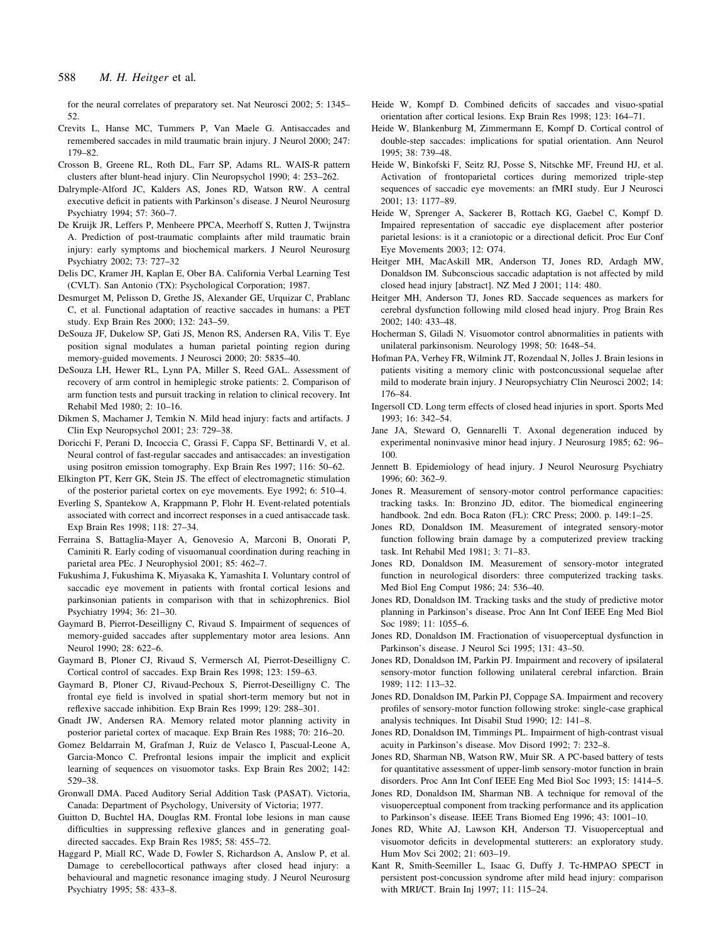for the neural correlates of preparatory set. Nat Neurosci 2002; 5: 1345– 52.

- Crevits L, Hanse MC, Tummers P, Van Maele G. Antisaccades and remembered saccades in mild traumatic brain injury. J Neurol 2000; 247: 179±82.
- Crosson B, Greene RL, Roth DL, Farr SP, Adams RL. WAIS-R pattern clusters after blunt-head injury. Clin Neuropsychol 1990; 4: 253-262.
- Dalrymple-Alford JC, Kalders AS, Jones RD, Watson RW. A central executive deficit in patients with Parkinson's disease. J Neurol Neurosurg Psychiatry 1994; 57: 360-7.
- De Kruijk JR, Leffers P, Menheere PPCA, Meerhoff S, Rutten J, Twijnstra A. Prediction of post-traumatic complaints after mild traumatic brain injury: early symptoms and biochemical markers. J Neurol Neurosurg Psychiatry 2002; 73: 727-32
- Delis DC, Kramer JH, Kaplan E, Ober BA. California Verbal Learning Test (CVLT). San Antonio (TX): Psychological Corporation; 1987.
- Desmurget M, Pelisson D, Grethe JS, Alexander GE, Urquizar C, Prablanc C, et al. Functional adaptation of reactive saccades in humans: a PET study. Exp Brain Res 2000; 132: 243-59.
- DeSouza JF, Dukelow SP, Gati JS, Menon RS, Andersen RA, Vilis T. Eye position signal modulates a human parietal pointing region during memory-guided movements. J Neurosci 2000; 20: 5835-40.
- DeSouza LH, Hewer RL, Lynn PA, Miller S, Reed GAL. Assessment of recovery of arm control in hemiplegic stroke patients: 2. Comparison of arm function tests and pursuit tracking in relation to clinical recovery. Int Rehabil Med 1980; 2: 10-16.
- Dikmen S, Machamer J, Temkin N. Mild head injury: facts and artifacts. J Clin Exp Neuropsychol 2001; 23: 729-38.
- Doricchi F, Perani D, Incoccia C, Grassi F, Cappa SF, Bettinardi V, et al. Neural control of fast-regular saccades and antisaccades: an investigation using positron emission tomography. Exp Brain Res 1997; 116: 50-62.
- Elkington PT, Kerr GK, Stein JS. The effect of electromagnetic stimulation of the posterior parietal cortex on eye movements. Eye 1992; 6: 510-4.
- Everling S, Spantekow A, Krappmann P, Flohr H. Event-related potentials associated with correct and incorrect responses in a cued antisaccade task. Exp Brain Res 1998; 118: 27-34.
- Ferraina S, Battaglia-Mayer A, Genovesio A, Marconi B, Onorati P, Caminiti R. Early coding of visuomanual coordination during reaching in parietal area PEc. J Neurophysiol 2001; 85: 462-7.
- Fukushima J, Fukushima K, Miyasaka K, Yamashita I. Voluntary control of saccadic eye movement in patients with frontal cortical lesions and parkinsonian patients in comparison with that in schizophrenics. Biol Psychiatry 1994; 36: 21-30.
- Gaymard B, Pierrot-Deseilligny C, Rivaud S. Impairment of sequences of memory-guided saccades after supplementary motor area lesions. Ann Neurol 1990: 28: 622-6.
- Gaymard B, Ploner CJ, Rivaud S, Vermersch AI, Pierrot-Deseilligny C. Cortical control of saccades. Exp Brain Res 1998; 123: 159-63.
- Gaymard B, Ploner CJ, Rivaud-Pechoux S, Pierrot-Deseilligny C. The frontal eye field is involved in spatial short-term memory but not in reflexive saccade inhibition. Exp Brain Res 1999; 129: 288-301.
- Gnadt JW, Andersen RA. Memory related motor planning activity in posterior parietal cortex of macaque. Exp Brain Res 1988; 70: 216-20.
- Gomez Beldarrain M, Grafman J, Ruiz de Velasco I, Pascual-Leone A, Garcia-Monco C. Prefrontal lesions impair the implicit and explicit learning of sequences on visuomotor tasks. Exp Brain Res 2002; 142: 529±38.
- Gronwall DMA. Paced Auditory Serial Addition Task (PASAT). Victoria, Canada: Department of Psychology, University of Victoria; 1977.
- Guitton D, Buchtel HA, Douglas RM. Frontal lobe lesions in man cause difficulties in suppressing reflexive glances and in generating goaldirected saccades. Exp Brain Res 1985; 58: 455-72.
- Haggard P, Miall RC, Wade D, Fowler S, Richardson A, Anslow P, et al. Damage to cerebellocortical pathways after closed head injury: a behavioural and magnetic resonance imaging study. J Neurol Neurosurg Psychiatry 1995; 58: 433-8.
- Heide W, Kompf D. Combined deficits of saccades and visuo-spatial orientation after cortical lesions. Exp Brain Res 1998; 123: 164-71.
- Heide W, Blankenburg M, Zimmermann E, Kompf D. Cortical control of double-step saccades: implications for spatial orientation. Ann Neurol 1995; 38: 739-48.
- Heide W, Binkofski F, Seitz RJ, Posse S, Nitschke MF, Freund HJ, et al. Activation of frontoparietal cortices during memorized triple-step sequences of saccadic eye movements: an fMRI study. Eur J Neurosci 2001; 13: 1177±89.
- Heide W, Sprenger A, Sackerer B, Rottach KG, Gaebel C, Kompf D. Impaired representation of saccadic eye displacement after posterior parietal lesions: is it a craniotopic or a directional deficit. Proc Eur Conf Eye Movements 2003; 12: O74.
- Heitger MH, MacAskill MR, Anderson TJ, Jones RD, Ardagh MW, Donaldson IM. Subconscious saccadic adaptation is not affected by mild closed head injury [abstract]. NZ Med J 2001; 114: 480.
- Heitger MH, Anderson TJ, Jones RD. Saccade sequences as markers for cerebral dysfunction following mild closed head injury. Prog Brain Res 2002; 140: 433±48.
- Hocherman S, Giladi N. Visuomotor control abnormalities in patients with unilateral parkinsonism. Neurology 1998; 50: 1648-54.
- Hofman PA, Verhey FR, Wilmink JT, Rozendaal N, Jolles J. Brain lesions in patients visiting a memory clinic with postconcussional sequelae after mild to moderate brain injury. J Neuropsychiatry Clin Neurosci 2002; 14: 176±84.
- Ingersoll CD. Long term effects of closed head injuries in sport. Sports Med 1993: 16: 342–54.
- Jane JA, Steward O, Gennarelli T. Axonal degeneration induced by experimental noninvasive minor head injury. J Neurosurg 1985; 62: 96-100.
- Jennett B. Epidemiology of head injury. J Neurol Neurosurg Psychiatry 1996; 60: 362±9.
- Jones R. Measurement of sensory-motor control performance capacities: tracking tasks. In: Bronzino JD, editor. The biomedical engineering handbook. 2nd edn. Boca Raton (FL): CRC Press; 2000. p. 149:1-25.
- Jones RD, Donaldson IM. Measurement of integrated sensory-motor function following brain damage by a computerized preview tracking task. Int Rehabil Med 1981; 3: 71-83.
- Jones RD, Donaldson IM. Measurement of sensory-motor integrated function in neurological disorders: three computerized tracking tasks. Med Biol Eng Comput 1986; 24: 536-40.
- Jones RD, Donaldson IM. Tracking tasks and the study of predictive motor planning in Parkinson's disease. Proc Ann Int Conf IEEE Eng Med Biol Soc 1989; 11: 1055-6.
- Jones RD, Donaldson IM. Fractionation of visuoperceptual dysfunction in Parkinson's disease. J Neurol Sci 1995; 131: 43-50.
- Jones RD, Donaldson IM, Parkin PJ. Impairment and recovery of ipsilateral sensory-motor function following unilateral cerebral infarction. Brain 1989; 112: 113-32.
- Jones RD, Donaldson IM, Parkin PJ, Coppage SA. Impairment and recovery profiles of sensory-motor function following stroke: single-case graphical analysis techniques. Int Disabil Stud 1990; 12: 141-8.
- Jones RD, Donaldson IM, Timmings PL. Impairment of high-contrast visual acuity in Parkinson's disease. Mov Disord 1992; 7: 232-8.
- Jones RD, Sharman NB, Watson RW, Muir SR. A PC-based battery of tests for quantitative assessment of upper-limb sensory-motor function in brain disorders. Proc Ann Int Conf IEEE Eng Med Biol Soc 1993; 15: 1414-5.
- Jones RD, Donaldson IM, Sharman NB. A technique for removal of the visuoperceptual component from tracking performance and its application to Parkinson's disease. IEEE Trans Biomed Eng 1996; 43: 1001-10.
- Jones RD, White AJ, Lawson KH, Anderson TJ. Visuoperceptual and visuomotor deficits in developmental stutterers: an exploratory study. Hum Mov Sci 2002; 21: 603-19.
- Kant R, Smith-Seemiller L, Isaac G, Duffy J. Tc-HMPAO SPECT in persistent post-concussion syndrome after mild head injury: comparison with MRI/CT. Brain Inj 1997; 11: 115-24.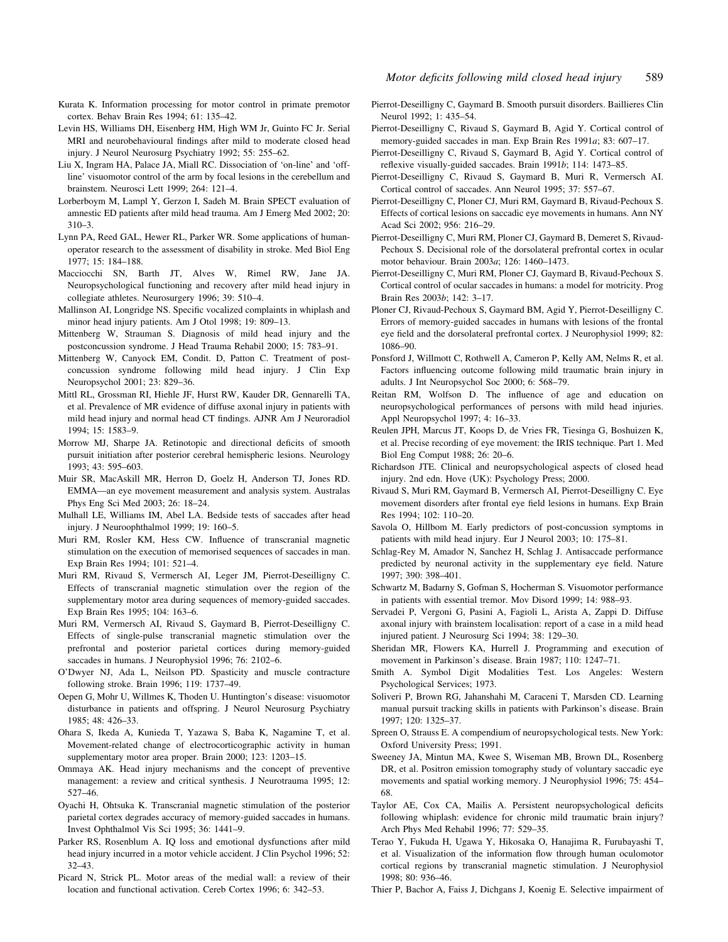- Levin HS, Williams DH, Eisenberg HM, High WM Jr, Guinto FC Jr. Serial MRI and neurobehavioural findings after mild to moderate closed head injury. J Neurol Neurosurg Psychiatry 1992; 55: 255–62.
- Liu X, Ingram HA, Palace JA, Miall RC. Dissociation of `on-line' and `offline' visuomotor control of the arm by focal lesions in the cerebellum and brainstem. Neurosci Lett 1999; 264: 121-4.
- Lorberboym M, Lampl Y, Gerzon I, Sadeh M. Brain SPECT evaluation of amnestic ED patients after mild head trauma. Am J Emerg Med 2002; 20:  $310 - 3.$
- Lynn PA, Reed GAL, Hewer RL, Parker WR. Some applications of humanoperator research to the assessment of disability in stroke. Med Biol Eng 1977: 15: 184-188.
- Macciocchi SN, Barth JT, Alves W, Rimel RW, Jane JA. Neuropsychological functioning and recovery after mild head injury in collegiate athletes. Neurosurgery 1996; 39: 510-4.
- Mallinson AI, Longridge NS. Specific vocalized complaints in whiplash and minor head injury patients. Am J Otol 1998; 19: 809-13.
- Mittenberg W, Strauman S. Diagnosis of mild head injury and the postconcussion syndrome. J Head Trauma Rehabil 2000; 15: 783-91.
- Mittenberg W, Canyock EM, Condit. D, Patton C. Treatment of postconcussion syndrome following mild head injury. J Clin Exp Neuropsychol 2001; 23: 829-36.
- Mittl RL, Grossman RI, Hiehle JF, Hurst RW, Kauder DR, Gennarelli TA, et al. Prevalence of MR evidence of diffuse axonal injury in patients with mild head injury and normal head CT findings. AJNR Am J Neuroradiol 1994; 15: 1583±9.
- Morrow MJ, Sharpe JA. Retinotopic and directional deficits of smooth pursuit initiation after posterior cerebral hemispheric lesions. Neurology 1993: 43: 595-603.
- Muir SR, MacAskill MR, Herron D, Goelz H, Anderson TJ, Jones RD. EMMA-an eye movement measurement and analysis system. Australas Phys Eng Sci Med 2003; 26: 18-24.
- Mulhall LE, Williams IM, Abel LA. Bedside tests of saccades after head injury. J Neuroophthalmol 1999; 19: 160-5.
- Muri RM, Rosler KM, Hess CW. Influence of transcranial magnetic stimulation on the execution of memorised sequences of saccades in man. Exp Brain Res 1994; 101: 521-4.
- Muri RM, Rivaud S, Vermersch AI, Leger JM, Pierrot-Deseilligny C. Effects of transcranial magnetic stimulation over the region of the supplementary motor area during sequences of memory-guided saccades. Exp Brain Res 1995; 104: 163-6.
- Muri RM, Vermersch AI, Rivaud S, Gaymard B, Pierrot-Deseilligny C. Effects of single-pulse transcranial magnetic stimulation over the prefrontal and posterior parietal cortices during memory-guided saccades in humans. J Neurophysiol 1996; 76: 2102-6.
- O'Dwyer NJ, Ada L, Neilson PD. Spasticity and muscle contracture following stroke. Brain 1996; 119: 1737-49.
- Oepen G, Mohr U, Willmes K, Thoden U. Huntington's disease: visuomotor disturbance in patients and offspring. J Neurol Neurosurg Psychiatry 1985; 48: 426-33.
- Ohara S, Ikeda A, Kunieda T, Yazawa S, Baba K, Nagamine T, et al. Movement-related change of electrocorticographic activity in human supplementary motor area proper. Brain  $2000$ ;  $123$ :  $1203-15$ .
- Ommaya AK. Head injury mechanisms and the concept of preventive management: a review and critical synthesis. J Neurotrauma 1995; 12: 527-46.
- Oyachi H, Ohtsuka K. Transcranial magnetic stimulation of the posterior parietal cortex degrades accuracy of memory-guided saccades in humans. Invest Ophthalmol Vis Sci  $1995: 36: 1441-9$ .
- Parker RS, Rosenblum A. IQ loss and emotional dysfunctions after mild head injury incurred in a motor vehicle accident. J Clin Psychol 1996; 52: 32±43.
- Picard N, Strick PL. Motor areas of the medial wall: a review of their location and functional activation. Cereb Cortex 1996: 6: 342–53.
- Pierrot-Deseilligny C, Gaymard B. Smooth pursuit disorders. Baillieres Clin Neurol 1992; 1: 435-54.
- Pierrot-Deseilligny C, Rivaud S, Gaymard B, Agid Y. Cortical control of memory-guided saccades in man. Exp Brain Res 1991a; 83: 607-17.
- Pierrot-Deseilligny C, Rivaud S, Gaymard B, Agid Y. Cortical control of reflexive visually-guided saccades. Brain 1991b; 114: 1473-85.
- Pierrot-Deseilligny C, Rivaud S, Gaymard B, Muri R, Vermersch AI. Cortical control of saccades. Ann Neurol 1995; 37: 557-67.
- Pierrot-Deseilligny C, Ploner CJ, Muri RM, Gaymard B, Rivaud-Pechoux S. Effects of cortical lesions on saccadic eye movements in humans. Ann NY Acad Sci 2002; 956: 216-29.
- Pierrot-Deseilligny C, Muri RM, Ploner CJ, Gaymard B, Demeret S, Rivaud-Pechoux S. Decisional role of the dorsolateral prefrontal cortex in ocular motor behaviour. Brain  $2003a$ ; 126: 1460-1473.
- Pierrot-Deseilligny C, Muri RM, Ploner CJ, Gaymard B, Rivaud-Pechoux S. Cortical control of ocular saccades in humans: a model for motricity. Prog Brain Res 2003b; 142: 3-17.
- Ploner CJ, Rivaud-Pechoux S, Gaymard BM, Agid Y, Pierrot-Deseilligny C. Errors of memory-guided saccades in humans with lesions of the frontal eye field and the dorsolateral prefrontal cortex. J Neurophysiol 1999; 82: 1086±90.
- Ponsford J, Willmott C, Rothwell A, Cameron P, Kelly AM, Nelms R, et al. Factors influencing outcome following mild traumatic brain injury in adults. J Int Neuropsychol Soc 2000; 6: 568-79.
- Reitan RM, Wolfson D. The influence of age and education on neuropsychological performances of persons with mild head injuries. Appl Neuropsychol 1997; 4: 16-33.
- Reulen JPH, Marcus JT, Koops D, de Vries FR, Tiesinga G, Boshuizen K, et al. Precise recording of eye movement: the IRIS technique. Part 1. Med Biol Eng Comput 1988; 26: 20-6.
- Richardson JTE. Clinical and neuropsychological aspects of closed head injury. 2nd edn. Hove (UK): Psychology Press; 2000.
- Rivaud S, Muri RM, Gaymard B, Vermersch AI, Pierrot-Deseilligny C. Eye movement disorders after frontal eye field lesions in humans. Exp Brain Res 1994; 102: 110-20.
- Savola O, Hillbom M. Early predictors of post-concussion symptoms in patients with mild head injury. Eur J Neurol 2003; 10: 175-81.
- Schlag-Rey M, Amador N, Sanchez H, Schlag J. Antisaccade performance predicted by neuronal activity in the supplementary eye field. Nature  $1997: 390: 398 - 401$
- Schwartz M, Badarny S, Gofman S, Hocherman S. Visuomotor performance in patients with essential tremor. Mov Disord 1999; 14: 988-93.
- Servadei P, Vergoni G, Pasini A, Fagioli L, Arista A, Zappi D. Diffuse axonal injury with brainstem localisation: report of a case in a mild head injured patient. J Neurosurg Sci 1994; 38: 129-30.
- Sheridan MR, Flowers KA, Hurrell J. Programming and execution of movement in Parkinson's disease. Brain 1987; 110: 1247-71.
- Smith A. Symbol Digit Modalities Test. Los Angeles: Western Psychological Services; 1973.
- Soliveri P, Brown RG, Jahanshahi M, Caraceni T, Marsden CD. Learning manual pursuit tracking skills in patients with Parkinson's disease. Brain 1997; 120: 1325±37.
- Spreen O, Strauss E. A compendium of neuropsychological tests. New York: Oxford University Press; 1991.
- Sweeney JA, Mintun MA, Kwee S, Wiseman MB, Brown DL, Rosenberg DR, et al. Positron emission tomography study of voluntary saccadic eye movements and spatial working memory. J Neurophysiol 1996; 75: 454-68.
- Taylor AE, Cox CA, Mailis A. Persistent neuropsychological deficits following whiplash: evidence for chronic mild traumatic brain injury? Arch Phys Med Rehabil 1996; 77: 529-35.
- Terao Y, Fukuda H, Ugawa Y, Hikosaka O, Hanajima R, Furubayashi T, et al. Visualization of the information flow through human oculomotor cortical regions by transcranial magnetic stimulation. J Neurophysiol 1998: 80: 936-46.
- Thier P, Bachor A, Faiss J, Dichgans J, Koenig E. Selective impairment of